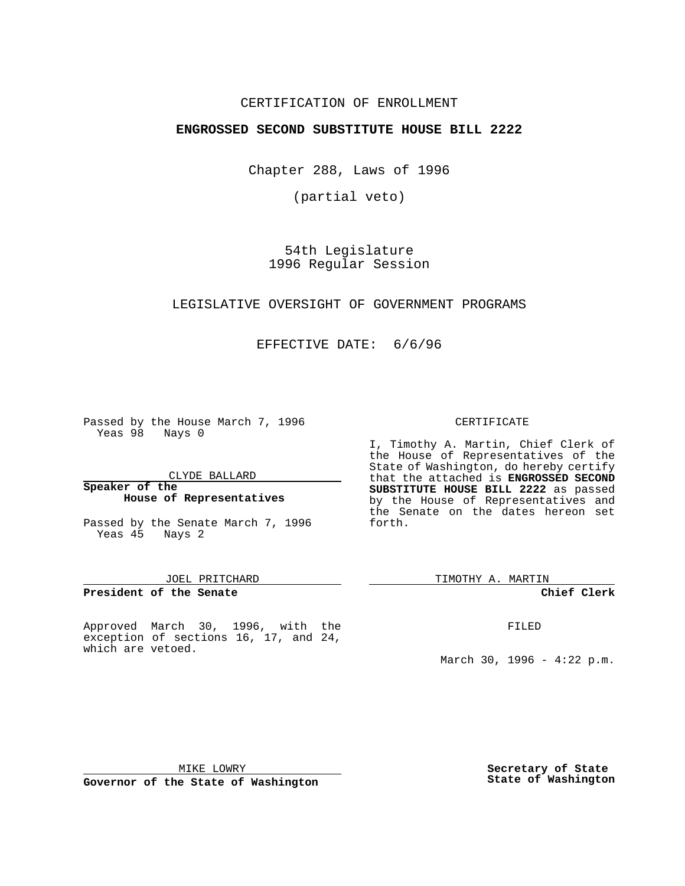## CERTIFICATION OF ENROLLMENT

## **ENGROSSED SECOND SUBSTITUTE HOUSE BILL 2222**

Chapter 288, Laws of 1996

(partial veto)

54th Legislature 1996 Regular Session

## LEGISLATIVE OVERSIGHT OF GOVERNMENT PROGRAMS

EFFECTIVE DATE: 6/6/96

Passed by the House March 7, 1996 Yeas 98 Nays 0

CLYDE BALLARD

**Speaker of the House of Representatives**

Passed by the Senate March 7, 1996 Yeas 45 Nays 2

## JOEL PRITCHARD

**President of the Senate**

Approved March 30, 1996, with the exception of sections 16, 17, and 24, which are vetoed.

### CERTIFICATE

I, Timothy A. Martin, Chief Clerk of the House of Representatives of the State of Washington, do hereby certify that the attached is **ENGROSSED SECOND SUBSTITUTE HOUSE BILL 2222** as passed by the House of Representatives and the Senate on the dates hereon set forth.

TIMOTHY A. MARTIN

#### **Chief Clerk**

FILED

March 30, 1996 -  $4:22$  p.m.

MIKE LOWRY

**Governor of the State of Washington**

**Secretary of State State of Washington**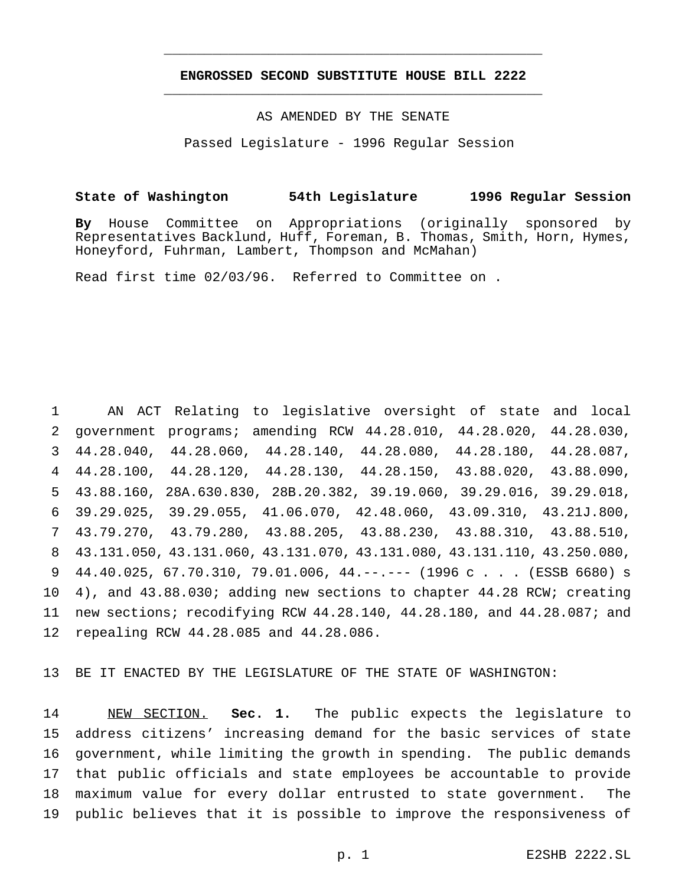# **ENGROSSED SECOND SUBSTITUTE HOUSE BILL 2222** \_\_\_\_\_\_\_\_\_\_\_\_\_\_\_\_\_\_\_\_\_\_\_\_\_\_\_\_\_\_\_\_\_\_\_\_\_\_\_\_\_\_\_\_\_\_\_

\_\_\_\_\_\_\_\_\_\_\_\_\_\_\_\_\_\_\_\_\_\_\_\_\_\_\_\_\_\_\_\_\_\_\_\_\_\_\_\_\_\_\_\_\_\_\_

# AS AMENDED BY THE SENATE

Passed Legislature - 1996 Regular Session

## **State of Washington 54th Legislature 1996 Regular Session**

**By** House Committee on Appropriations (originally sponsored by Representatives Backlund, Huff, Foreman, B. Thomas, Smith, Horn, Hymes, Honeyford, Fuhrman, Lambert, Thompson and McMahan)

Read first time 02/03/96. Referred to Committee on .

 AN ACT Relating to legislative oversight of state and local government programs; amending RCW 44.28.010, 44.28.020, 44.28.030, 44.28.040, 44.28.060, 44.28.140, 44.28.080, 44.28.180, 44.28.087, 44.28.100, 44.28.120, 44.28.130, 44.28.150, 43.88.020, 43.88.090, 43.88.160, 28A.630.830, 28B.20.382, 39.19.060, 39.29.016, 39.29.018, 39.29.025, 39.29.055, 41.06.070, 42.48.060, 43.09.310, 43.21J.800, 43.79.270, 43.79.280, 43.88.205, 43.88.230, 43.88.310, 43.88.510, 43.131.050, 43.131.060, 43.131.070, 43.131.080, 43.131.110, 43.250.080, 9 44.40.025, 67.70.310, 79.01.006, 44.--.--- (1996 c . . . (ESSB 6680) s 4), and 43.88.030; adding new sections to chapter 44.28 RCW; creating new sections; recodifying RCW 44.28.140, 44.28.180, and 44.28.087; and repealing RCW 44.28.085 and 44.28.086.

13 BE IT ENACTED BY THE LEGISLATURE OF THE STATE OF WASHINGTON:

 NEW SECTION. **Sec. 1.** The public expects the legislature to address citizens' increasing demand for the basic services of state government, while limiting the growth in spending. The public demands that public officials and state employees be accountable to provide maximum value for every dollar entrusted to state government. The public believes that it is possible to improve the responsiveness of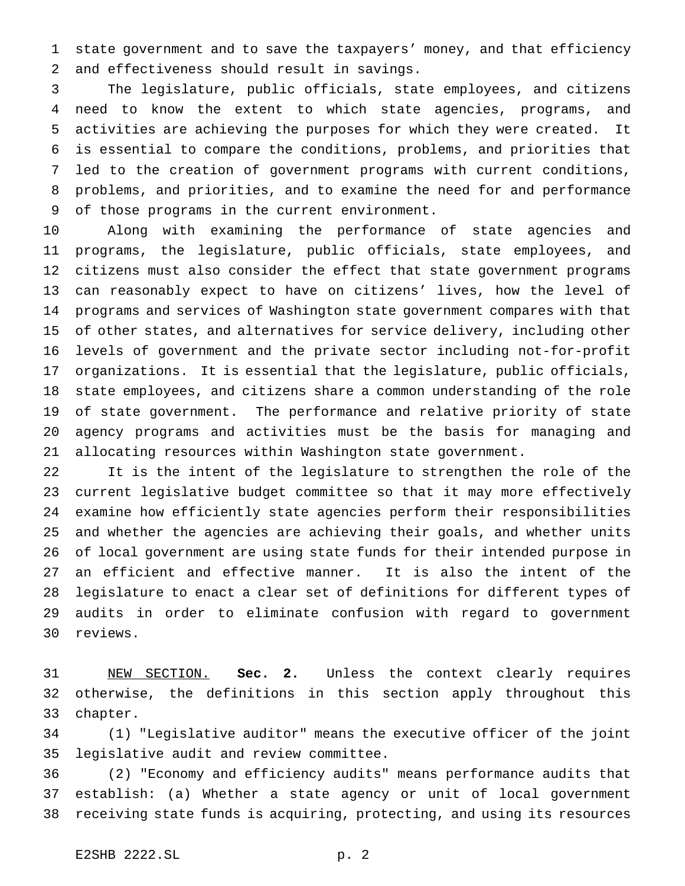state government and to save the taxpayers' money, and that efficiency and effectiveness should result in savings.

 The legislature, public officials, state employees, and citizens need to know the extent to which state agencies, programs, and activities are achieving the purposes for which they were created. It is essential to compare the conditions, problems, and priorities that led to the creation of government programs with current conditions, problems, and priorities, and to examine the need for and performance of those programs in the current environment.

 Along with examining the performance of state agencies and programs, the legislature, public officials, state employees, and citizens must also consider the effect that state government programs can reasonably expect to have on citizens' lives, how the level of programs and services of Washington state government compares with that of other states, and alternatives for service delivery, including other levels of government and the private sector including not-for-profit organizations. It is essential that the legislature, public officials, state employees, and citizens share a common understanding of the role of state government. The performance and relative priority of state agency programs and activities must be the basis for managing and allocating resources within Washington state government.

 It is the intent of the legislature to strengthen the role of the current legislative budget committee so that it may more effectively examine how efficiently state agencies perform their responsibilities and whether the agencies are achieving their goals, and whether units of local government are using state funds for their intended purpose in an efficient and effective manner. It is also the intent of the legislature to enact a clear set of definitions for different types of audits in order to eliminate confusion with regard to government reviews.

 NEW SECTION. **Sec. 2.** Unless the context clearly requires otherwise, the definitions in this section apply throughout this chapter.

 (1) "Legislative auditor" means the executive officer of the joint legislative audit and review committee.

 (2) "Economy and efficiency audits" means performance audits that establish: (a) Whether a state agency or unit of local government receiving state funds is acquiring, protecting, and using its resources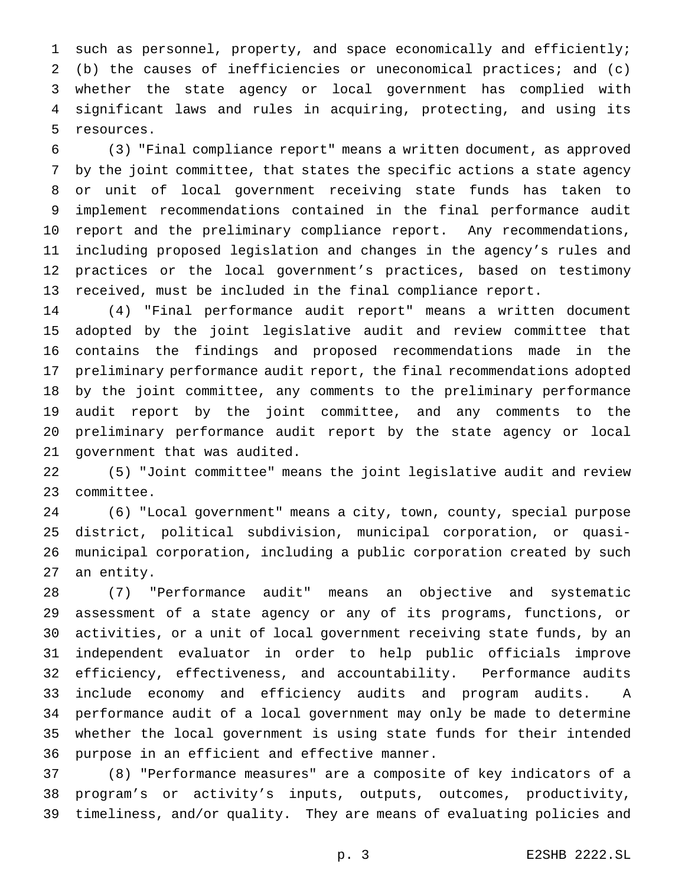such as personnel, property, and space economically and efficiently; (b) the causes of inefficiencies or uneconomical practices; and (c) whether the state agency or local government has complied with significant laws and rules in acquiring, protecting, and using its resources.

 (3) "Final compliance report" means a written document, as approved by the joint committee, that states the specific actions a state agency or unit of local government receiving state funds has taken to implement recommendations contained in the final performance audit report and the preliminary compliance report. Any recommendations, including proposed legislation and changes in the agency's rules and practices or the local government's practices, based on testimony received, must be included in the final compliance report.

 (4) "Final performance audit report" means a written document adopted by the joint legislative audit and review committee that contains the findings and proposed recommendations made in the preliminary performance audit report, the final recommendations adopted by the joint committee, any comments to the preliminary performance audit report by the joint committee, and any comments to the preliminary performance audit report by the state agency or local government that was audited.

 (5) "Joint committee" means the joint legislative audit and review committee.

 (6) "Local government" means a city, town, county, special purpose district, political subdivision, municipal corporation, or quasi- municipal corporation, including a public corporation created by such an entity.

 (7) "Performance audit" means an objective and systematic assessment of a state agency or any of its programs, functions, or activities, or a unit of local government receiving state funds, by an independent evaluator in order to help public officials improve efficiency, effectiveness, and accountability. Performance audits include economy and efficiency audits and program audits. A performance audit of a local government may only be made to determine whether the local government is using state funds for their intended purpose in an efficient and effective manner.

 (8) "Performance measures" are a composite of key indicators of a program's or activity's inputs, outputs, outcomes, productivity, timeliness, and/or quality. They are means of evaluating policies and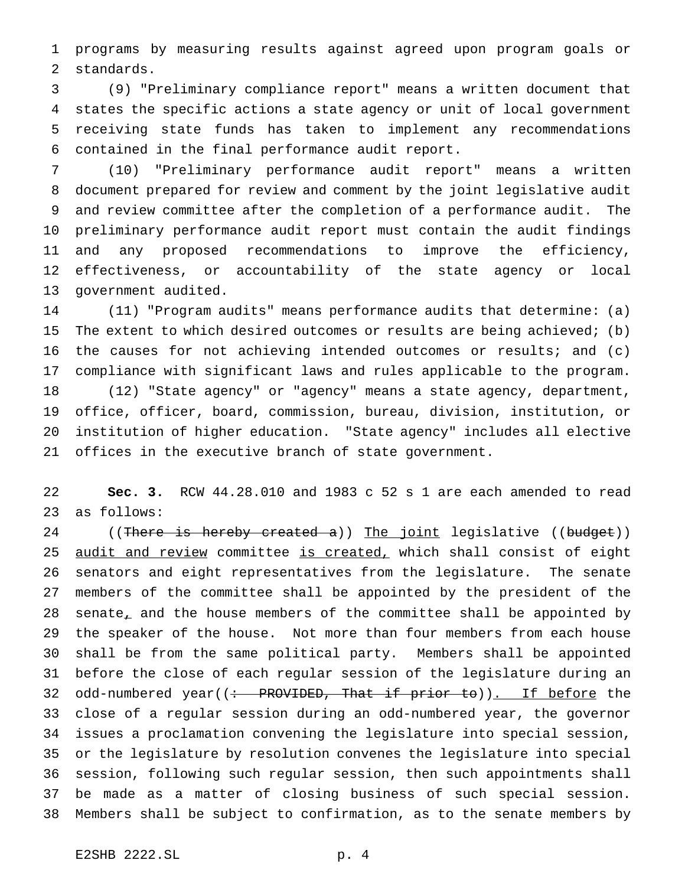programs by measuring results against agreed upon program goals or standards.

 (9) "Preliminary compliance report" means a written document that states the specific actions a state agency or unit of local government receiving state funds has taken to implement any recommendations contained in the final performance audit report.

 (10) "Preliminary performance audit report" means a written document prepared for review and comment by the joint legislative audit and review committee after the completion of a performance audit. The preliminary performance audit report must contain the audit findings and any proposed recommendations to improve the efficiency, effectiveness, or accountability of the state agency or local government audited.

 (11) "Program audits" means performance audits that determine: (a) The extent to which desired outcomes or results are being achieved; (b) the causes for not achieving intended outcomes or results; and (c) compliance with significant laws and rules applicable to the program. (12) "State agency" or "agency" means a state agency, department, office, officer, board, commission, bureau, division, institution, or institution of higher education. "State agency" includes all elective offices in the executive branch of state government.

 **Sec. 3.** RCW 44.28.010 and 1983 c 52 s 1 are each amended to read as follows:

24 ((There is hereby created a)) The joint legislative ((budget)) 25 audit and review committee is created, which shall consist of eight senators and eight representatives from the legislature. The senate members of the committee shall be appointed by the president of the 28 senate, and the house members of the committee shall be appointed by the speaker of the house. Not more than four members from each house shall be from the same political party. Members shall be appointed before the close of each regular session of the legislature during an 32 odd-numbered year( $\left(\div\right)$  PROVIDED, That if prior to)). If before the close of a regular session during an odd-numbered year, the governor issues a proclamation convening the legislature into special session, or the legislature by resolution convenes the legislature into special session, following such regular session, then such appointments shall be made as a matter of closing business of such special session. Members shall be subject to confirmation, as to the senate members by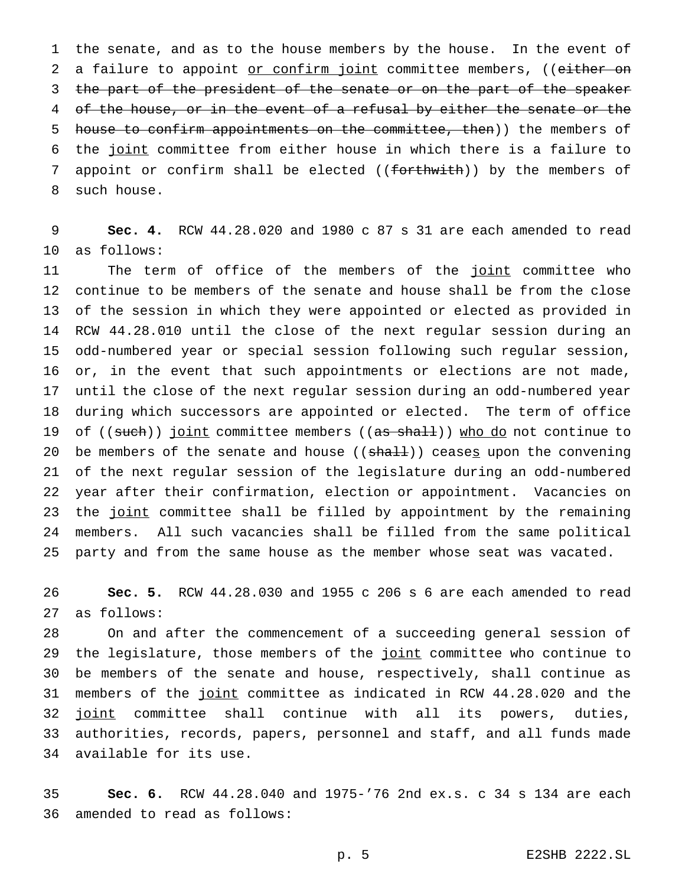the senate, and as to the house members by the house. In the event of 2 a failure to appoint or confirm joint committee members, ((either on 3 the part of the president of the senate or on the part of the speaker 4 of the house, or in the event of a refusal by either the senate or the 5 house to confirm appointments on the committee, then)) the members of the joint committee from either house in which there is a failure to 7 appoint or confirm shall be elected ((forthwith)) by the members of such house.

 **Sec. 4.** RCW 44.28.020 and 1980 c 87 s 31 are each amended to read as follows:

11 The term of office of the members of the joint committee who continue to be members of the senate and house shall be from the close of the session in which they were appointed or elected as provided in RCW 44.28.010 until the close of the next regular session during an odd-numbered year or special session following such regular session, or, in the event that such appointments or elections are not made, until the close of the next regular session during an odd-numbered year during which successors are appointed or elected. The term of office 19 of ((such)) joint committee members ((as shall)) who do not continue to 20 be members of the senate and house  $((shall))$  ceases upon the convening of the next regular session of the legislature during an odd-numbered year after their confirmation, election or appointment. Vacancies on 23 the joint committee shall be filled by appointment by the remaining members. All such vacancies shall be filled from the same political party and from the same house as the member whose seat was vacated.

 **Sec. 5.** RCW 44.28.030 and 1955 c 206 s 6 are each amended to read as follows:

 On and after the commencement of a succeeding general session of 29 the legislature, those members of the joint committee who continue to be members of the senate and house, respectively, shall continue as members of the joint committee as indicated in RCW 44.28.020 and the 32 joint committee shall continue with all its powers, duties, authorities, records, papers, personnel and staff, and all funds made available for its use.

 **Sec. 6.** RCW 44.28.040 and 1975-'76 2nd ex.s. c 34 s 134 are each amended to read as follows: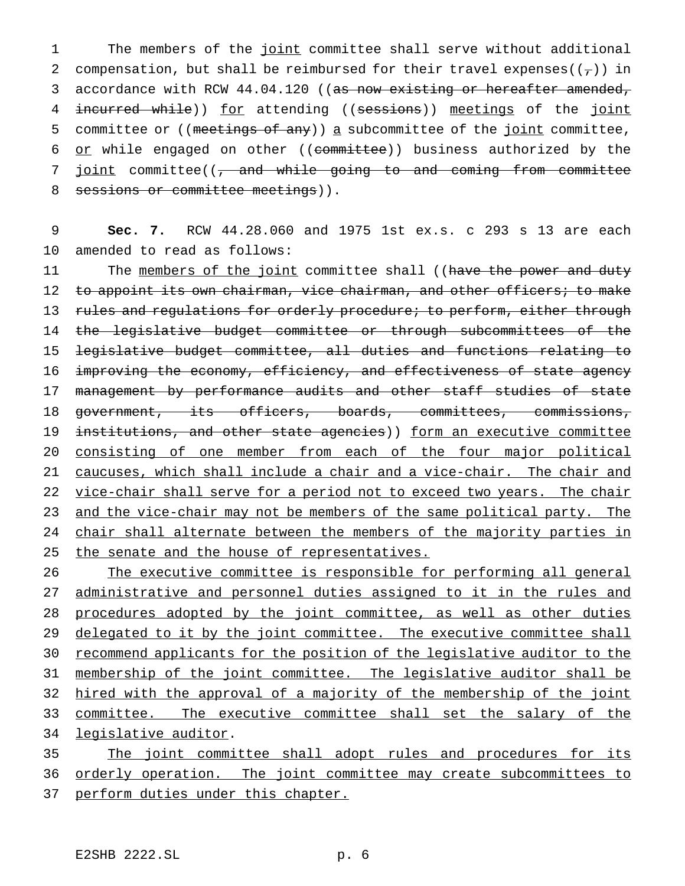1 The members of the joint committee shall serve without additional 2 compensation, but shall be reimbursed for their travel expenses( $(\tau)$ ) in 3 accordance with RCW 44.04.120 ((as now existing or hereafter amended, 4 incurred while)) for attending ((sessions)) meetings of the joint 5 committee or ((meetings of any)) a subcommittee of the joint committee, 6 or while engaged on other ((committee)) business authorized by the 7 joint committee((, and while going to and coming from committee 8 sessions or committee meetings)).

9 **Sec. 7.** RCW 44.28.060 and 1975 1st ex.s. c 293 s 13 are each 10 amended to read as follows:

11 The members of the joint committee shall ((have the power and duty 12 to appoint its own chairman, vice chairman, and other officers; to make 13 rules and regulations for orderly procedure; to perform, either through 14 the legislative budget committee or through subcommittees of the 15 legislative budget committee, all duties and functions relating to 16 improving the economy, efficiency, and effectiveness of state agency 17 management by performance audits and other staff studies of state 18 government, its officers, boards, committees, commissions, 19 institutions, and other state agencies)) form an executive committee 20 consisting of one member from each of the four major political 21 caucuses, which shall include a chair and a vice-chair. The chair and 22 vice-chair shall serve for a period not to exceed two years. The chair 23 and the vice-chair may not be members of the same political party. The 24 chair shall alternate between the members of the majority parties in 25 the senate and the house of representatives.

26 The executive committee is responsible for performing all general 27 administrative and personnel duties assigned to it in the rules and 28 procedures adopted by the joint committee, as well as other duties 29 delegated to it by the joint committee. The executive committee shall 30 recommend applicants for the position of the legislative auditor to the 31 membership of the joint committee. The legislative auditor shall be 32 hired with the approval of a majority of the membership of the joint 33 committee. The executive committee shall set the salary of the 34 legislative auditor. 35 The joint committee shall adopt rules and procedures for its

36 orderly operation. The joint committee may create subcommittees to

37 perform duties under this chapter.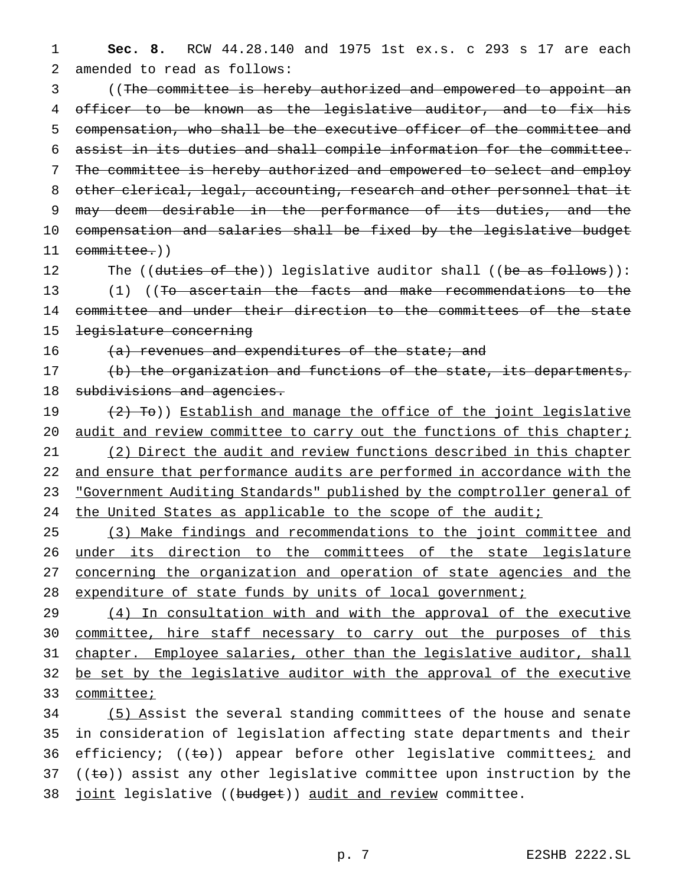1 **Sec. 8.** RCW 44.28.140 and 1975 1st ex.s. c 293 s 17 are each 2 amended to read as follows:

 ((The committee is hereby authorized and empowered to appoint an officer to be known as the legislative auditor, and to fix his compensation, who shall be the executive officer of the committee and assist in its duties and shall compile information for the committee. The committee is hereby authorized and empowered to select and employ 8 other clerical, legal, accounting, research and other personnel that it 9 may deem desirable in the performance of its duties, and the compensation and salaries shall be fixed by the legislative budget committee.))

12 The ((duties of the)) legislative auditor shall ((be as follows)): 13 (1) ((To ascertain the facts and make recommendations to the 14 committee and under their direction to the committees of the state 15 legislature concerning

16  $(a)$  revenues and expenditures of the state; and

17 (b) the organization and functions of the state, its departments, 18 subdivisions and agencies.

19 (2) To)) Establish and manage the office of the joint legislative 20 audit and review committee to carry out the functions of this chapter; 21 (2) Direct the audit and review functions described in this chapter 22 and ensure that performance audits are performed in accordance with the 23 "Government Auditing Standards" published by the comptroller general of 24 the United States as applicable to the scope of the audit;

 (3) Make findings and recommendations to the joint committee and 26 under its direction to the committees of the state legislature concerning the organization and operation of state agencies and the expenditure of state funds by units of local government;

29 (4) In consultation with and with the approval of the executive 30 committee, hire staff necessary to carry out the purposes of this 31 chapter. Employee salaries, other than the legislative auditor, shall 32 be set by the legislative auditor with the approval of the executive 33 committee;

34 (5) Assist the several standing committees of the house and senate 35 in consideration of legislation affecting state departments and their 36 efficiency; ((to)) appear before other legislative committees; and 37 ( $(\pm \theta)$ ) assist any other legislative committee upon instruction by the 38 joint legislative ((budget)) audit and review committee.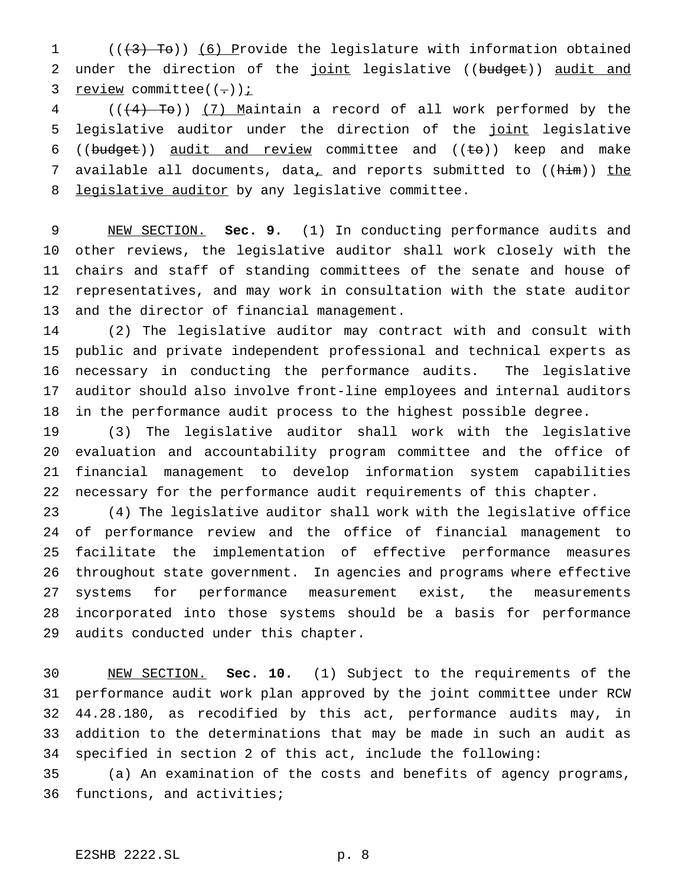1  $((+3)$  To)) (6) Provide the legislature with information obtained 2 under the direction of the joint legislative ((budget)) audit and 3 review committee( $(-)$ )  $i$ 

4 (( $(4)$  To)) (7) Maintain a record of all work performed by the 5 legislative auditor under the direction of the joint legislative 6 (( $b$ udget)) audit and review committee and ( $\text{te}$ )) keep and make 7 available all documents, data<sub> $\perp$ </sub> and reports submitted to (( $him$ )) the 8 legislative auditor by any legislative committee.

 NEW SECTION. **Sec. 9.** (1) In conducting performance audits and other reviews, the legislative auditor shall work closely with the chairs and staff of standing committees of the senate and house of representatives, and may work in consultation with the state auditor and the director of financial management.

 (2) The legislative auditor may contract with and consult with public and private independent professional and technical experts as necessary in conducting the performance audits. The legislative auditor should also involve front-line employees and internal auditors in the performance audit process to the highest possible degree.

 (3) The legislative auditor shall work with the legislative evaluation and accountability program committee and the office of financial management to develop information system capabilities necessary for the performance audit requirements of this chapter.

 (4) The legislative auditor shall work with the legislative office of performance review and the office of financial management to facilitate the implementation of effective performance measures throughout state government. In agencies and programs where effective systems for performance measurement exist, the measurements incorporated into those systems should be a basis for performance audits conducted under this chapter.

 NEW SECTION. **Sec. 10.** (1) Subject to the requirements of the performance audit work plan approved by the joint committee under RCW 44.28.180, as recodified by this act, performance audits may, in addition to the determinations that may be made in such an audit as specified in section 2 of this act, include the following:

 (a) An examination of the costs and benefits of agency programs, functions, and activities;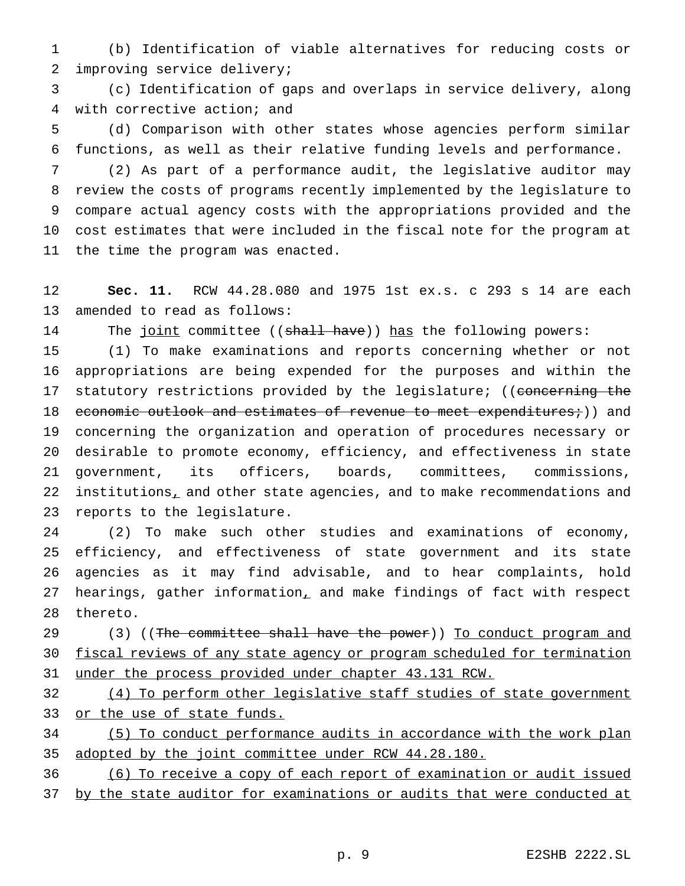(b) Identification of viable alternatives for reducing costs or improving service delivery;

 (c) Identification of gaps and overlaps in service delivery, along with corrective action; and

 (d) Comparison with other states whose agencies perform similar functions, as well as their relative funding levels and performance.

 (2) As part of a performance audit, the legislative auditor may review the costs of programs recently implemented by the legislature to compare actual agency costs with the appropriations provided and the cost estimates that were included in the fiscal note for the program at the time the program was enacted.

 **Sec. 11.** RCW 44.28.080 and 1975 1st ex.s. c 293 s 14 are each amended to read as follows:

14 The joint committee ((shall have)) has the following powers:

 (1) To make examinations and reports concerning whether or not appropriations are being expended for the purposes and within the 17 statutory restrictions provided by the legislature; ((concerning the 18 economic outlook and estimates of revenue to meet expenditures;)) and concerning the organization and operation of procedures necessary or desirable to promote economy, efficiency, and effectiveness in state government, its officers, boards, committees, commissions, 22 institutions, and other state agencies, and to make recommendations and reports to the legislature.

 (2) To make such other studies and examinations of economy, efficiency, and effectiveness of state government and its state agencies as it may find advisable, and to hear complaints, hold hearings, gather information, and make findings of fact with respect thereto.

29 (3) ((The committee shall have the power)) To conduct program and 30 fiscal reviews of any state agency or program scheduled for termination under the process provided under chapter 43.131 RCW.

 (4) To perform other legislative staff studies of state government 33 or the use of state funds.

 (5) To conduct performance audits in accordance with the work plan 35 adopted by the joint committee under RCW 44.28.180.

(6) To receive a copy of each report of examination or audit issued

by the state auditor for examinations or audits that were conducted at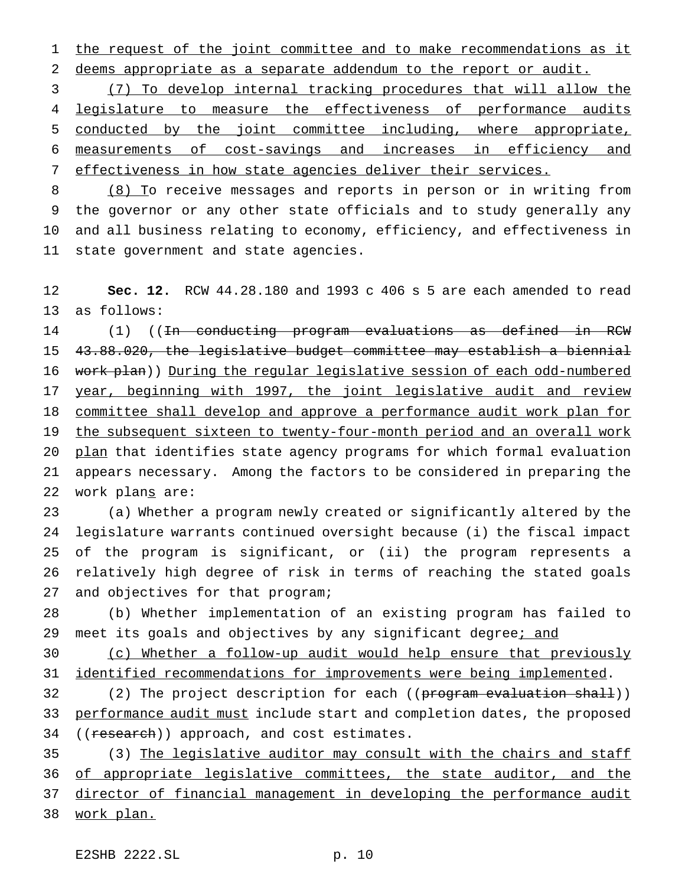1 the request of the joint committee and to make recommendations as it 2 deems appropriate as a separate addendum to the report or audit.

 (7) To develop internal tracking procedures that will allow the 4 legislature to measure the effectiveness of performance audits conducted by the joint committee including, where appropriate, measurements of cost-savings and increases in efficiency and effectiveness in how state agencies deliver their services.

8 (8) To receive messages and reports in person or in writing from the governor or any other state officials and to study generally any and all business relating to economy, efficiency, and effectiveness in state government and state agencies.

12 **Sec. 12.** RCW 44.28.180 and 1993 c 406 s 5 are each amended to read 13 as follows:

14 (1) ((In conducting program evaluations as defined in RCW 15 43.88.020, the legislative budget committee may establish a biennial 16 work plan)) During the regular legislative session of each odd-numbered 17 year, beginning with 1997, the joint legislative audit and review 18 committee shall develop and approve a performance audit work plan for 19 the subsequent sixteen to twenty-four-month period and an overall work 20 plan that identifies state agency programs for which formal evaluation 21 appears necessary. Among the factors to be considered in preparing the 22 work plans are:

 (a) Whether a program newly created or significantly altered by the legislature warrants continued oversight because (i) the fiscal impact of the program is significant, or (ii) the program represents a relatively high degree of risk in terms of reaching the stated goals 27 and objectives for that program;

28 (b) Whether implementation of an existing program has failed to 29 meet its goals and objectives by any significant degree; and

30 (c) Whether a follow-up audit would help ensure that previously 31 identified recommendations for improvements were being implemented.

32 (2) The project description for each ((<del>program evaluation shall</del>)) 33 performance audit must include start and completion dates, the proposed 34 ((research)) approach, and cost estimates.

35 (3) The legislative auditor may consult with the chairs and staff 36 of appropriate legislative committees, the state auditor, and the 37 director of financial management in developing the performance audit 38 work plan.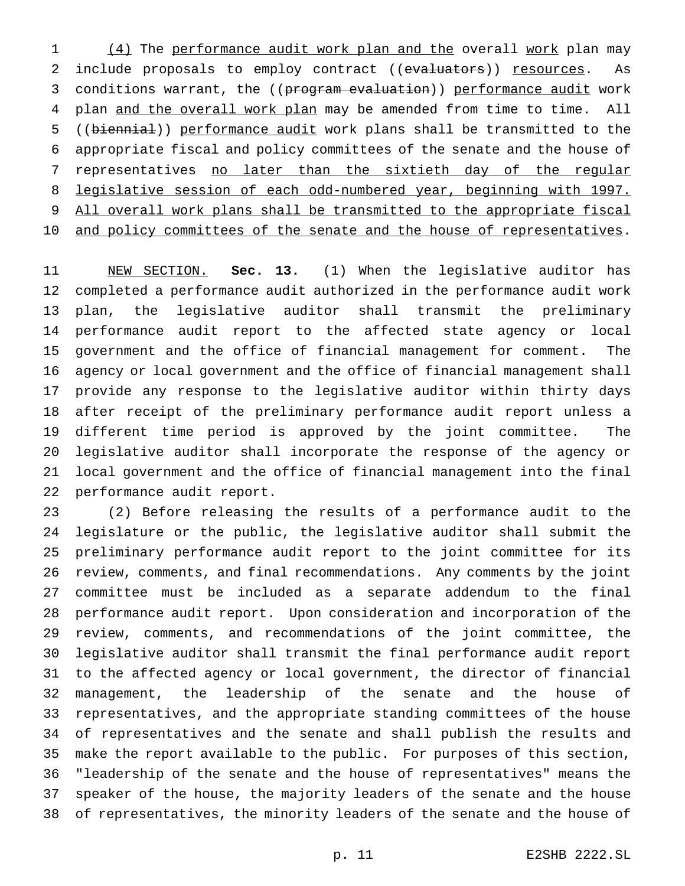1 (4) The performance audit work plan and the overall work plan may 2 include proposals to employ contract ((evaluators)) resources. As 3 conditions warrant, the ((program evaluation)) performance audit work 4 plan and the overall work plan may be amended from time to time. All ((biennial)) performance audit work plans shall be transmitted to the appropriate fiscal and policy committees of the senate and the house of 7 representatives no later than the sixtieth day of the regular legislative session of each odd-numbered year, beginning with 1997. 9 All overall work plans shall be transmitted to the appropriate fiscal 10 and policy committees of the senate and the house of representatives.

 NEW SECTION. **Sec. 13.** (1) When the legislative auditor has completed a performance audit authorized in the performance audit work plan, the legislative auditor shall transmit the preliminary performance audit report to the affected state agency or local government and the office of financial management for comment. The agency or local government and the office of financial management shall provide any response to the legislative auditor within thirty days after receipt of the preliminary performance audit report unless a different time period is approved by the joint committee. The legislative auditor shall incorporate the response of the agency or local government and the office of financial management into the final performance audit report.

 (2) Before releasing the results of a performance audit to the legislature or the public, the legislative auditor shall submit the preliminary performance audit report to the joint committee for its review, comments, and final recommendations. Any comments by the joint committee must be included as a separate addendum to the final performance audit report. Upon consideration and incorporation of the review, comments, and recommendations of the joint committee, the legislative auditor shall transmit the final performance audit report to the affected agency or local government, the director of financial management, the leadership of the senate and the house of representatives, and the appropriate standing committees of the house of representatives and the senate and shall publish the results and make the report available to the public. For purposes of this section, "leadership of the senate and the house of representatives" means the speaker of the house, the majority leaders of the senate and the house of representatives, the minority leaders of the senate and the house of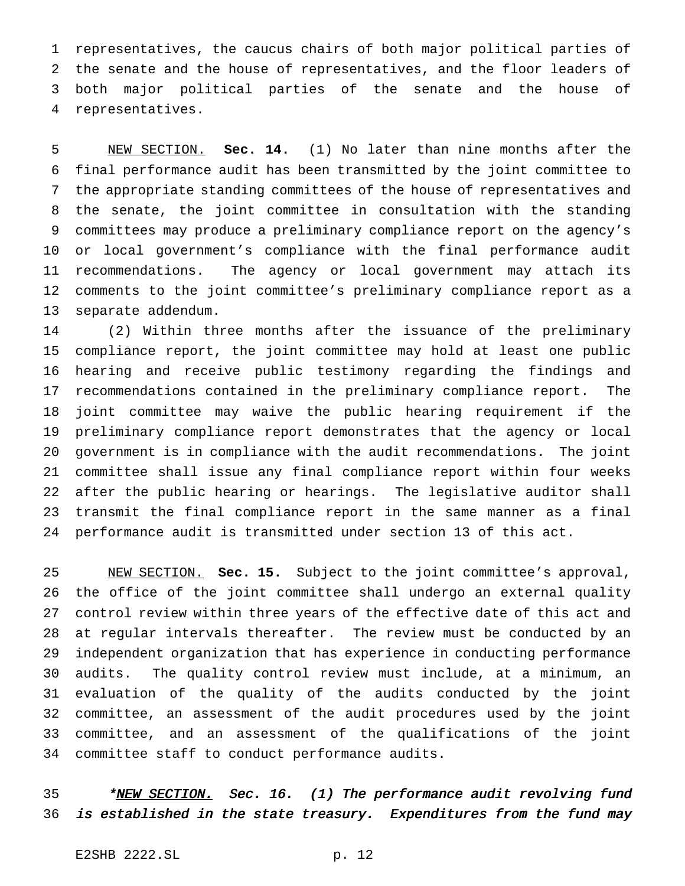representatives, the caucus chairs of both major political parties of the senate and the house of representatives, and the floor leaders of both major political parties of the senate and the house of representatives.

 NEW SECTION. **Sec. 14.** (1) No later than nine months after the final performance audit has been transmitted by the joint committee to the appropriate standing committees of the house of representatives and the senate, the joint committee in consultation with the standing committees may produce a preliminary compliance report on the agency's or local government's compliance with the final performance audit recommendations. The agency or local government may attach its comments to the joint committee's preliminary compliance report as a separate addendum.

 (2) Within three months after the issuance of the preliminary compliance report, the joint committee may hold at least one public hearing and receive public testimony regarding the findings and recommendations contained in the preliminary compliance report. The joint committee may waive the public hearing requirement if the preliminary compliance report demonstrates that the agency or local government is in compliance with the audit recommendations. The joint committee shall issue any final compliance report within four weeks after the public hearing or hearings. The legislative auditor shall transmit the final compliance report in the same manner as a final performance audit is transmitted under section 13 of this act.

 NEW SECTION. **Sec. 15.** Subject to the joint committee's approval, the office of the joint committee shall undergo an external quality control review within three years of the effective date of this act and at regular intervals thereafter. The review must be conducted by an independent organization that has experience in conducting performance audits. The quality control review must include, at a minimum, an evaluation of the quality of the audits conducted by the joint committee, an assessment of the audit procedures used by the joint committee, and an assessment of the qualifications of the joint committee staff to conduct performance audits.

35 \*NEW SECTION. Sec. 16. (1) The performance audit revolving fund is established in the state treasury. Expenditures from the fund may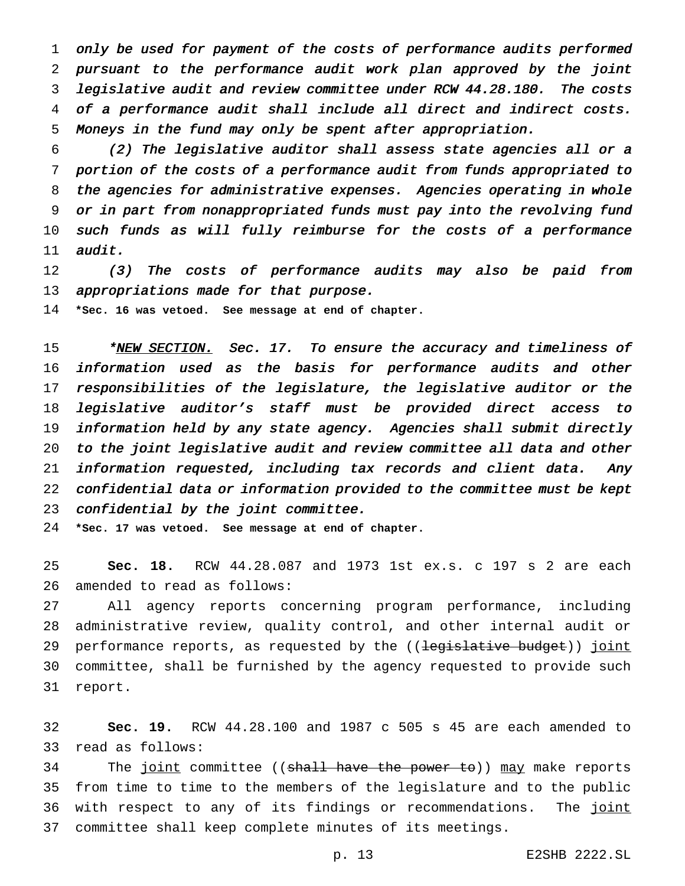only be used for payment of the costs of performance audits performed pursuant to the performance audit work plan approved by the joint legislative audit and review committee under RCW 44.28.180. The costs of <sup>a</sup> performance audit shall include all direct and indirect costs. Moneys in the fund may only be spent after appropriation.

 (2) The legislative auditor shall assess state agencies all or <sup>a</sup> portion of the costs of <sup>a</sup> performance audit from funds appropriated to the agencies for administrative expenses. Agencies operating in whole or in part from nonappropriated funds must pay into the revolving fund such funds as will fully reimburse for the costs of <sup>a</sup> performance audit.

 (3) The costs of performance audits may also be paid from 13 appropriations made for that purpose.

**\*Sec. 16 was vetoed. See message at end of chapter.**

15 \*NEW SECTION. Sec. 17. To ensure the accuracy and timeliness of information used as the basis for performance audits and other responsibilities of the legislature, the legislative auditor or the legislative auditor's staff must be provided direct access to information held by any state agency. Agencies shall submit directly to the joint legislative audit and review committee all data and other information requested, including tax records and client data. Any confidential data or information provided to the committee must be kept confidential by the joint committee.

**\*Sec. 17 was vetoed. See message at end of chapter.**

 **Sec. 18.** RCW 44.28.087 and 1973 1st ex.s. c 197 s 2 are each amended to read as follows:

 All agency reports concerning program performance, including administrative review, quality control, and other internal audit or 29 performance reports, as requested by the ((<del>legislative budget</del>)) joint committee, shall be furnished by the agency requested to provide such report.

 **Sec. 19.** RCW 44.28.100 and 1987 c 505 s 45 are each amended to read as follows:

34 The joint committee ((shall have the power to)) may make reports from time to time to the members of the legislature and to the public 36 with respect to any of its findings or recommendations. The joint committee shall keep complete minutes of its meetings.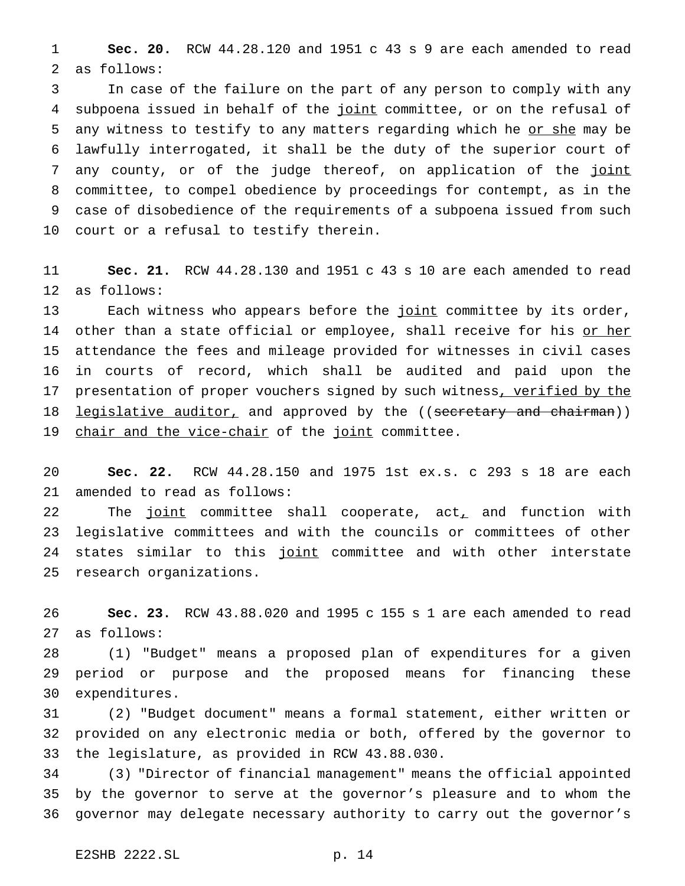**Sec. 20.** RCW 44.28.120 and 1951 c 43 s 9 are each amended to read as follows:

 In case of the failure on the part of any person to comply with any 4 subpoena issued in behalf of the joint committee, or on the refusal of 5 any witness to testify to any matters regarding which he or she may be lawfully interrogated, it shall be the duty of the superior court of 7 any county, or of the judge thereof, on application of the joint committee, to compel obedience by proceedings for contempt, as in the case of disobedience of the requirements of a subpoena issued from such court or a refusal to testify therein.

 **Sec. 21.** RCW 44.28.130 and 1951 c 43 s 10 are each amended to read as follows:

13 Each witness who appears before the joint committee by its order, 14 other than a state official or employee, shall receive for his or her attendance the fees and mileage provided for witnesses in civil cases in courts of record, which shall be audited and paid upon the 17 presentation of proper vouchers signed by such witness, verified by the 18 legislative auditor, and approved by the ((secretary and chairman)) 19 chair and the vice-chair of the joint committee.

 **Sec. 22.** RCW 44.28.150 and 1975 1st ex.s. c 293 s 18 are each amended to read as follows:

22 The joint committee shall cooperate, act, and function with legislative committees and with the councils or committees of other 24 states similar to this joint committee and with other interstate research organizations.

 **Sec. 23.** RCW 43.88.020 and 1995 c 155 s 1 are each amended to read as follows:

 (1) "Budget" means a proposed plan of expenditures for a given period or purpose and the proposed means for financing these expenditures.

 (2) "Budget document" means a formal statement, either written or provided on any electronic media or both, offered by the governor to the legislature, as provided in RCW 43.88.030.

 (3) "Director of financial management" means the official appointed by the governor to serve at the governor's pleasure and to whom the governor may delegate necessary authority to carry out the governor's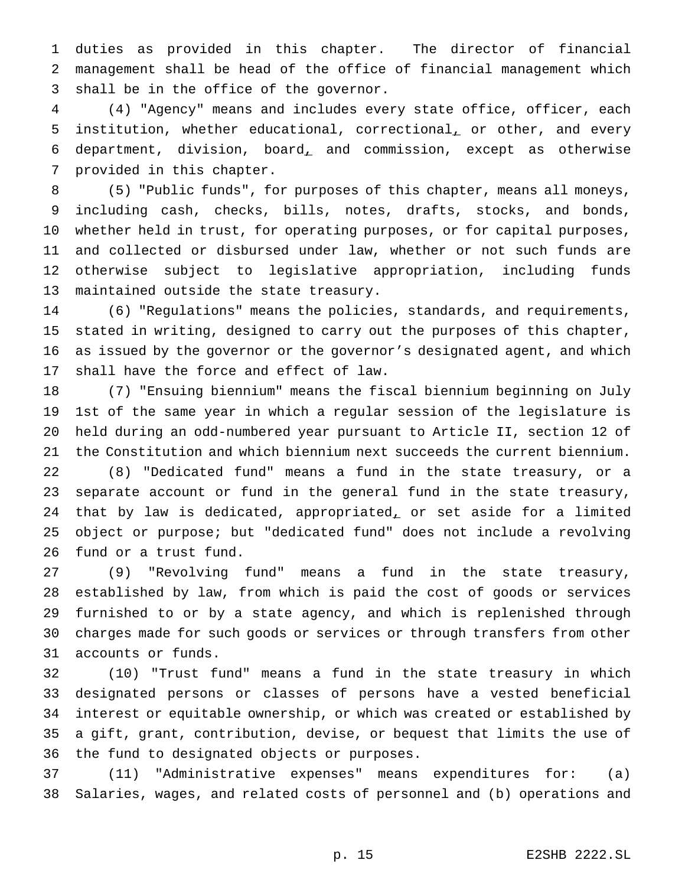duties as provided in this chapter. The director of financial management shall be head of the office of financial management which shall be in the office of the governor.

 (4) "Agency" means and includes every state office, officer, each 5 institution, whether educational, correctional, or other, and every department, division, board, and commission, except as otherwise provided in this chapter.

 (5) "Public funds", for purposes of this chapter, means all moneys, including cash, checks, bills, notes, drafts, stocks, and bonds, whether held in trust, for operating purposes, or for capital purposes, and collected or disbursed under law, whether or not such funds are otherwise subject to legislative appropriation, including funds maintained outside the state treasury.

 (6) "Regulations" means the policies, standards, and requirements, stated in writing, designed to carry out the purposes of this chapter, as issued by the governor or the governor's designated agent, and which shall have the force and effect of law.

 (7) "Ensuing biennium" means the fiscal biennium beginning on July 1st of the same year in which a regular session of the legislature is held during an odd-numbered year pursuant to Article II, section 12 of the Constitution and which biennium next succeeds the current biennium. (8) "Dedicated fund" means a fund in the state treasury, or a separate account or fund in the general fund in the state treasury, 24 that by law is dedicated, appropriated, or set aside for a limited object or purpose; but "dedicated fund" does not include a revolving fund or a trust fund.

 (9) "Revolving fund" means a fund in the state treasury, established by law, from which is paid the cost of goods or services furnished to or by a state agency, and which is replenished through charges made for such goods or services or through transfers from other accounts or funds.

 (10) "Trust fund" means a fund in the state treasury in which designated persons or classes of persons have a vested beneficial interest or equitable ownership, or which was created or established by a gift, grant, contribution, devise, or bequest that limits the use of the fund to designated objects or purposes.

 (11) "Administrative expenses" means expenditures for: (a) Salaries, wages, and related costs of personnel and (b) operations and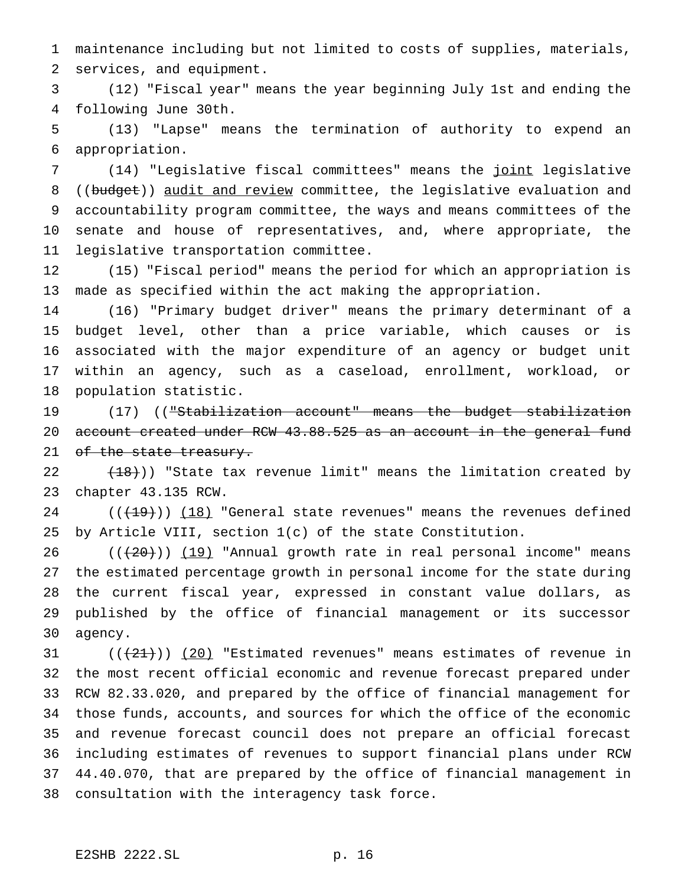maintenance including but not limited to costs of supplies, materials, services, and equipment.

 (12) "Fiscal year" means the year beginning July 1st and ending the following June 30th.

 (13) "Lapse" means the termination of authority to expend an appropriation.

 (14) "Legislative fiscal committees" means the joint legislative 8 ((budget)) audit and review committee, the legislative evaluation and accountability program committee, the ways and means committees of the senate and house of representatives, and, where appropriate, the legislative transportation committee.

 (15) "Fiscal period" means the period for which an appropriation is made as specified within the act making the appropriation.

 (16) "Primary budget driver" means the primary determinant of a budget level, other than a price variable, which causes or is associated with the major expenditure of an agency or budget unit within an agency, such as a caseload, enrollment, workload, or population statistic.

 (17) (("Stabilization account" means the budget stabilization 20 account created under RCW 43.88.525 as an account in the general fund 21 of the state treasury.

22  $(18)$ ) "State tax revenue limit" means the limitation created by chapter 43.135 RCW.

 $((+19))$   $(18)$  "General state revenues" means the revenues defined by Article VIII, section 1(c) of the state Constitution.

 ( $(\frac{20}{19})$   $(19)$  "Annual growth rate in real personal income" means the estimated percentage growth in personal income for the state during the current fiscal year, expressed in constant value dollars, as published by the office of financial management or its successor agency.

 $((21))$   $(20)$  "Estimated revenues" means estimates of revenue in the most recent official economic and revenue forecast prepared under RCW 82.33.020, and prepared by the office of financial management for those funds, accounts, and sources for which the office of the economic and revenue forecast council does not prepare an official forecast including estimates of revenues to support financial plans under RCW 44.40.070, that are prepared by the office of financial management in consultation with the interagency task force.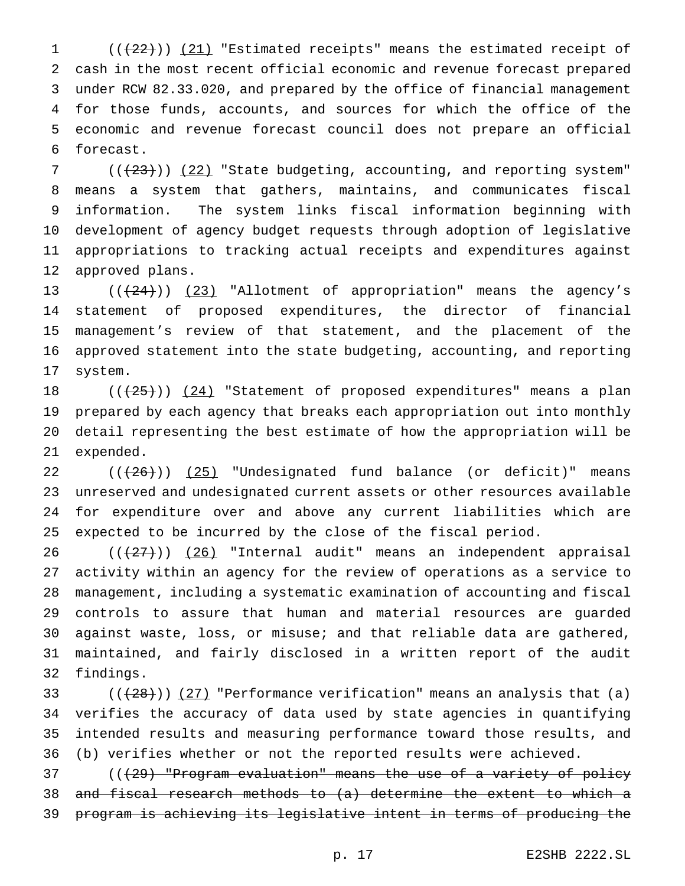1 (( $(22)$ )) (21) "Estimated receipts" means the estimated receipt of cash in the most recent official economic and revenue forecast prepared under RCW 82.33.020, and prepared by the office of financial management for those funds, accounts, and sources for which the office of the economic and revenue forecast council does not prepare an official forecast.

 ( $(\frac{23}{})$ ) (22) "State budgeting, accounting, and reporting system" means a system that gathers, maintains, and communicates fiscal information. The system links fiscal information beginning with development of agency budget requests through adoption of legislative appropriations to tracking actual receipts and expenditures against approved plans.

 $((+24))$   $(23)$  "Allotment of appropriation" means the agency's statement of proposed expenditures, the director of financial management's review of that statement, and the placement of the approved statement into the state budgeting, accounting, and reporting system.

 $((+25))$   $(24)$  "Statement of proposed expenditures" means a plan prepared by each agency that breaks each appropriation out into monthly detail representing the best estimate of how the appropriation will be expended.

 $((+26))$   $(25)$  "Undesignated fund balance (or deficit)" means unreserved and undesignated current assets or other resources available for expenditure over and above any current liabilities which are expected to be incurred by the close of the fiscal period.

26 (( $(27)$ )) (26) "Internal audit" means an independent appraisal activity within an agency for the review of operations as a service to management, including a systematic examination of accounting and fiscal controls to assure that human and material resources are guarded against waste, loss, or misuse; and that reliable data are gathered, maintained, and fairly disclosed in a written report of the audit findings.

33 ( $(\frac{28}{12})$ ) (27) "Performance verification" means an analysis that (a) verifies the accuracy of data used by state agencies in quantifying intended results and measuring performance toward those results, and (b) verifies whether or not the reported results were achieved.

 (((29) "Program evaluation" means the use of a variety of policy and fiscal research methods to (a) determine the extent to which a program is achieving its legislative intent in terms of producing the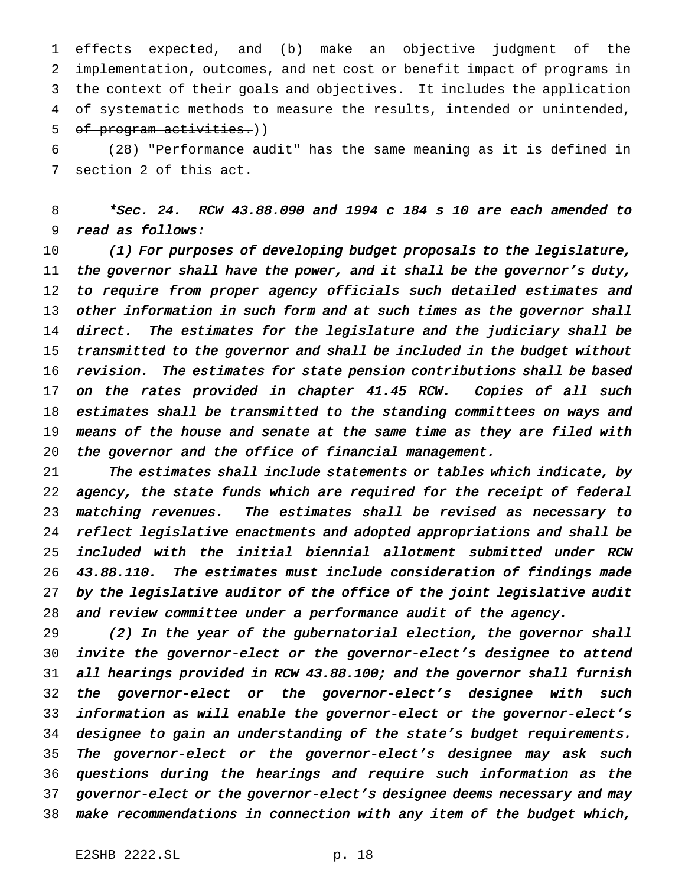effects expected, and (b) make an objective judgment of the implementation, outcomes, and net cost or benefit impact of programs in the context of their goals and objectives. It includes the application 4 of systematic methods to measure the results, intended or unintended, of program activities.))

 (28) "Performance audit" has the same meaning as it is defined in section 2 of this act.

 \*Sec. 24. RCW 43.88.090 and <sup>1994</sup> <sup>c</sup> <sup>184</sup> <sup>s</sup> <sup>10</sup> are each amended to read as follows:

 (1) For purposes of developing budget proposals to the legislature, 11 the governor shall have the power, and it shall be the governor's duty, to require from proper agency officials such detailed estimates and 13 other information in such form and at such times as the governor shall direct. The estimates for the legislature and the judiciary shall be 15 transmitted to the governor and shall be included in the budget without revision. The estimates for state pension contributions shall be based on the rates provided in chapter 41.45 RCW. Copies of all such estimates shall be transmitted to the standing committees on ways and 19 means of the house and senate at the same time as they are filed with the governor and the office of financial management.

 The estimates shall include statements or tables which indicate, by agency, the state funds which are required for the receipt of federal 23 matching revenues. The estimates shall be revised as necessary to reflect legislative enactments and adopted appropriations and shall be included with the initial biennial allotment submitted under RCW 43.88.110. The estimates must include consideration of findings made 27 by the legislative auditor of the office of the joint legislative audit 28 and review committee under a performance audit of the agency.

 (2) In the year of the gubernatorial election, the governor shall invite the governor-elect or the governor-elect's designee to attend all hearings provided in RCW 43.88.100; and the governor shall furnish the governor-elect or the governor-elect's designee with such information as will enable the governor-elect or the governor-elect's designee to gain an understanding of the state's budget requirements. The governor-elect or the governor-elect's designee may ask such questions during the hearings and require such information as the governor-elect or the governor-elect's designee deems necessary and may make recommendations in connection with any item of the budget which,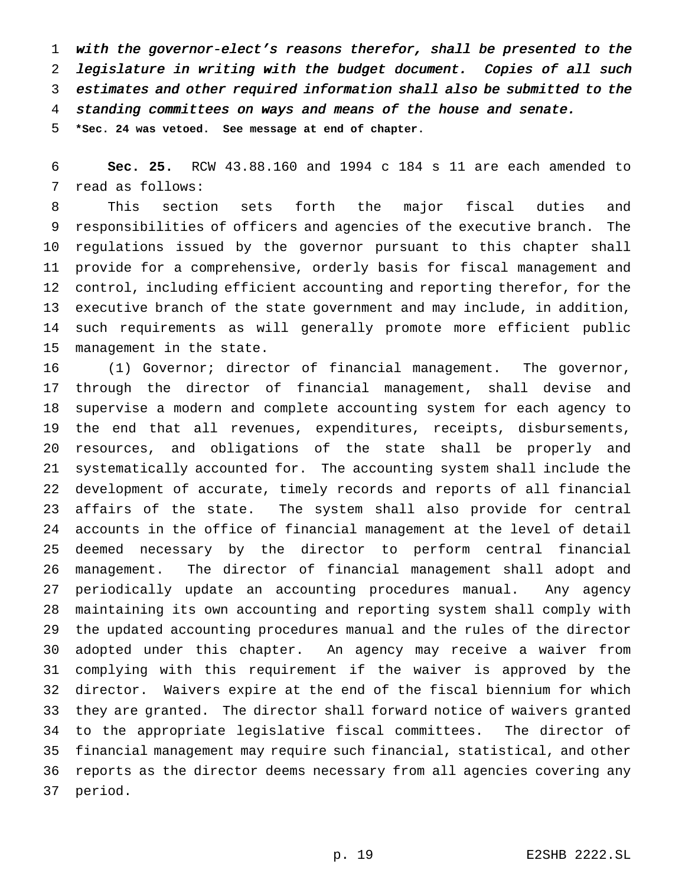with the governor-elect's reasons therefor, shall be presented to the legislature in writing with the budget document. Copies of all such estimates and other required information shall also be submitted to the standing committees on ways and means of the house and senate.

**\*Sec. 24 was vetoed. See message at end of chapter.**

 **Sec. 25.** RCW 43.88.160 and 1994 c 184 s 11 are each amended to read as follows:

 This section sets forth the major fiscal duties and responsibilities of officers and agencies of the executive branch. The regulations issued by the governor pursuant to this chapter shall provide for a comprehensive, orderly basis for fiscal management and control, including efficient accounting and reporting therefor, for the executive branch of the state government and may include, in addition, such requirements as will generally promote more efficient public management in the state.

 (1) Governor; director of financial management. The governor, through the director of financial management, shall devise and supervise a modern and complete accounting system for each agency to the end that all revenues, expenditures, receipts, disbursements, resources, and obligations of the state shall be properly and systematically accounted for. The accounting system shall include the development of accurate, timely records and reports of all financial affairs of the state. The system shall also provide for central accounts in the office of financial management at the level of detail deemed necessary by the director to perform central financial management. The director of financial management shall adopt and periodically update an accounting procedures manual. Any agency maintaining its own accounting and reporting system shall comply with the updated accounting procedures manual and the rules of the director adopted under this chapter. An agency may receive a waiver from complying with this requirement if the waiver is approved by the director. Waivers expire at the end of the fiscal biennium for which they are granted. The director shall forward notice of waivers granted to the appropriate legislative fiscal committees. The director of financial management may require such financial, statistical, and other reports as the director deems necessary from all agencies covering any period.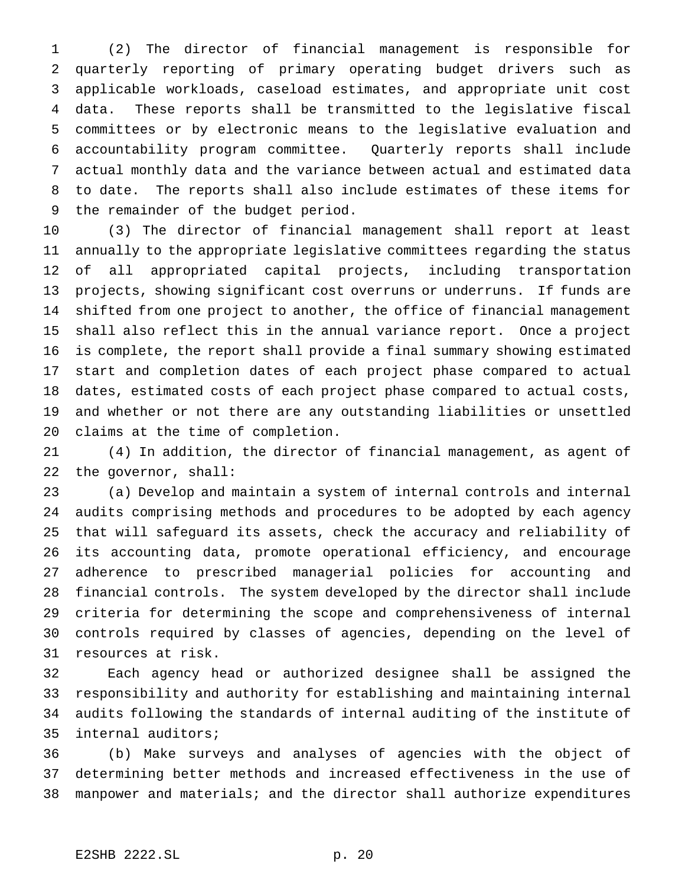(2) The director of financial management is responsible for quarterly reporting of primary operating budget drivers such as applicable workloads, caseload estimates, and appropriate unit cost data. These reports shall be transmitted to the legislative fiscal committees or by electronic means to the legislative evaluation and accountability program committee. Quarterly reports shall include actual monthly data and the variance between actual and estimated data to date. The reports shall also include estimates of these items for the remainder of the budget period.

 (3) The director of financial management shall report at least annually to the appropriate legislative committees regarding the status of all appropriated capital projects, including transportation projects, showing significant cost overruns or underruns. If funds are shifted from one project to another, the office of financial management shall also reflect this in the annual variance report. Once a project is complete, the report shall provide a final summary showing estimated start and completion dates of each project phase compared to actual dates, estimated costs of each project phase compared to actual costs, and whether or not there are any outstanding liabilities or unsettled claims at the time of completion.

 (4) In addition, the director of financial management, as agent of the governor, shall:

 (a) Develop and maintain a system of internal controls and internal audits comprising methods and procedures to be adopted by each agency that will safeguard its assets, check the accuracy and reliability of its accounting data, promote operational efficiency, and encourage adherence to prescribed managerial policies for accounting and financial controls. The system developed by the director shall include criteria for determining the scope and comprehensiveness of internal controls required by classes of agencies, depending on the level of resources at risk.

 Each agency head or authorized designee shall be assigned the responsibility and authority for establishing and maintaining internal audits following the standards of internal auditing of the institute of internal auditors;

 (b) Make surveys and analyses of agencies with the object of determining better methods and increased effectiveness in the use of manpower and materials; and the director shall authorize expenditures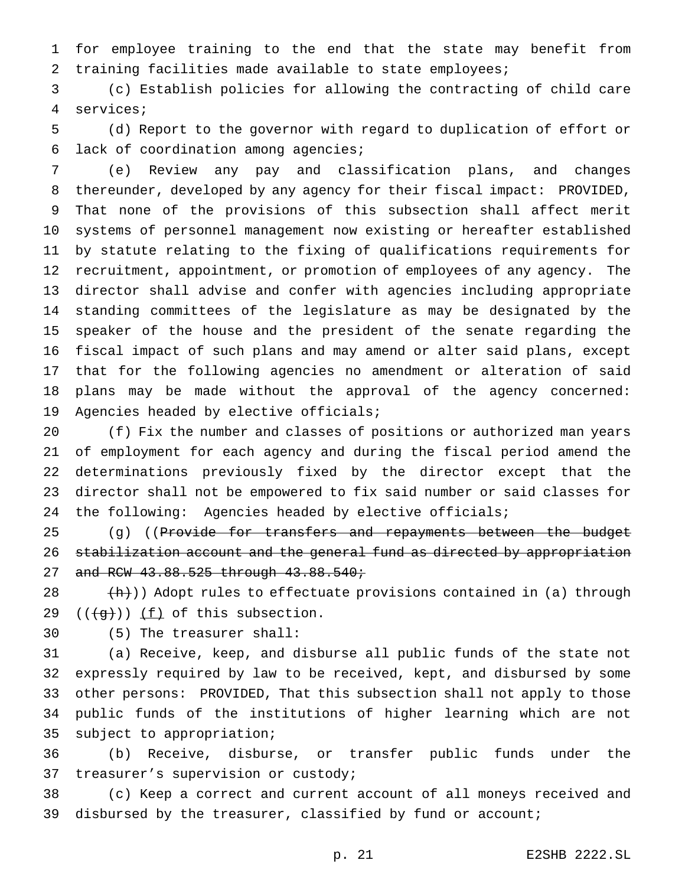for employee training to the end that the state may benefit from training facilities made available to state employees;

 (c) Establish policies for allowing the contracting of child care services;

 (d) Report to the governor with regard to duplication of effort or lack of coordination among agencies;

 (e) Review any pay and classification plans, and changes thereunder, developed by any agency for their fiscal impact: PROVIDED, That none of the provisions of this subsection shall affect merit systems of personnel management now existing or hereafter established by statute relating to the fixing of qualifications requirements for recruitment, appointment, or promotion of employees of any agency. The director shall advise and confer with agencies including appropriate standing committees of the legislature as may be designated by the speaker of the house and the president of the senate regarding the fiscal impact of such plans and may amend or alter said plans, except that for the following agencies no amendment or alteration of said plans may be made without the approval of the agency concerned: Agencies headed by elective officials;

 (f) Fix the number and classes of positions or authorized man years of employment for each agency and during the fiscal period amend the determinations previously fixed by the director except that the director shall not be empowered to fix said number or said classes for the following: Agencies headed by elective officials;

25 (g) ((P<del>rovide for transfers and repayments between the budget</del> stabilization account and the general fund as directed by appropriation 27 and RCW 43.88.525 through 43.88.540;

28  $(h)$ )) Adopt rules to effectuate provisions contained in (a) through 29  $((\forall f))$   $(f)$  of this subsection.

(5) The treasurer shall:

 (a) Receive, keep, and disburse all public funds of the state not expressly required by law to be received, kept, and disbursed by some other persons: PROVIDED, That this subsection shall not apply to those public funds of the institutions of higher learning which are not subject to appropriation;

 (b) Receive, disburse, or transfer public funds under the treasurer's supervision or custody;

 (c) Keep a correct and current account of all moneys received and 39 disbursed by the treasurer, classified by fund or account;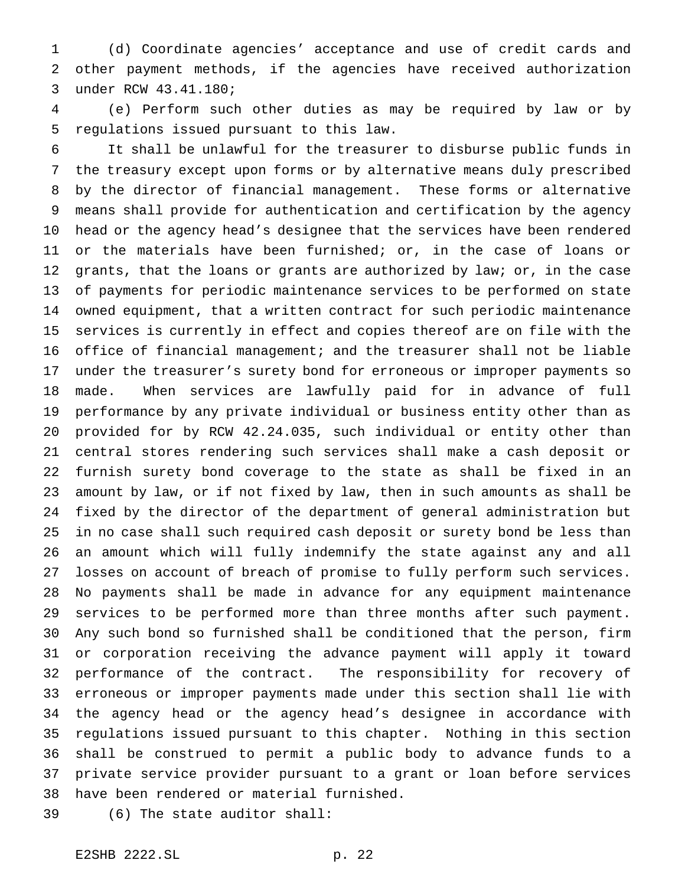(d) Coordinate agencies' acceptance and use of credit cards and other payment methods, if the agencies have received authorization under RCW 43.41.180;

 (e) Perform such other duties as may be required by law or by regulations issued pursuant to this law.

 It shall be unlawful for the treasurer to disburse public funds in the treasury except upon forms or by alternative means duly prescribed by the director of financial management. These forms or alternative means shall provide for authentication and certification by the agency

 head or the agency head's designee that the services have been rendered or the materials have been furnished; or, in the case of loans or 12 grants, that the loans or grants are authorized by law; or, in the case of payments for periodic maintenance services to be performed on state owned equipment, that a written contract for such periodic maintenance services is currently in effect and copies thereof are on file with the office of financial management; and the treasurer shall not be liable under the treasurer's surety bond for erroneous or improper payments so made. When services are lawfully paid for in advance of full performance by any private individual or business entity other than as provided for by RCW 42.24.035, such individual or entity other than central stores rendering such services shall make a cash deposit or furnish surety bond coverage to the state as shall be fixed in an amount by law, or if not fixed by law, then in such amounts as shall be fixed by the director of the department of general administration but in no case shall such required cash deposit or surety bond be less than an amount which will fully indemnify the state against any and all losses on account of breach of promise to fully perform such services. No payments shall be made in advance for any equipment maintenance services to be performed more than three months after such payment. Any such bond so furnished shall be conditioned that the person, firm or corporation receiving the advance payment will apply it toward performance of the contract. The responsibility for recovery of erroneous or improper payments made under this section shall lie with the agency head or the agency head's designee in accordance with regulations issued pursuant to this chapter. Nothing in this section shall be construed to permit a public body to advance funds to a private service provider pursuant to a grant or loan before services have been rendered or material furnished.

(6) The state auditor shall: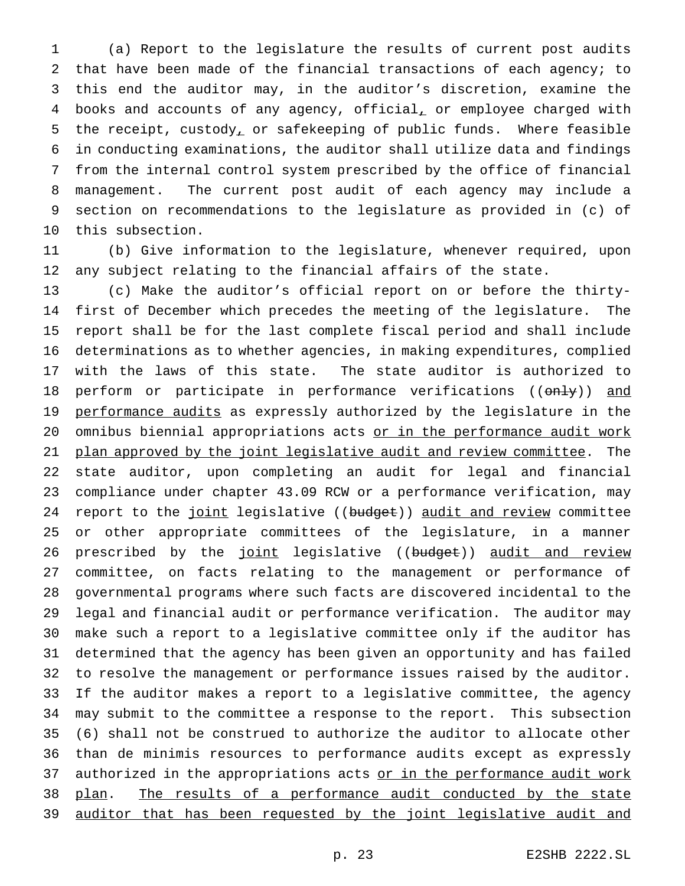(a) Report to the legislature the results of current post audits that have been made of the financial transactions of each agency; to this end the auditor may, in the auditor's discretion, examine the books and accounts of any agency, official, or employee charged with the receipt, custody, or safekeeping of public funds. Where feasible in conducting examinations, the auditor shall utilize data and findings from the internal control system prescribed by the office of financial management. The current post audit of each agency may include a section on recommendations to the legislature as provided in (c) of this subsection.

 (b) Give information to the legislature, whenever required, upon any subject relating to the financial affairs of the state.

 (c) Make the auditor's official report on or before the thirty- first of December which precedes the meeting of the legislature. The report shall be for the last complete fiscal period and shall include determinations as to whether agencies, in making expenditures, complied with the laws of this state. The state auditor is authorized to 18 perform or participate in performance verifications ((only)) and 19 performance audits as expressly authorized by the legislature in the 20 omnibus biennial appropriations acts or in the performance audit work 21 plan approved by the joint legislative audit and review committee. The state auditor, upon completing an audit for legal and financial compliance under chapter 43.09 RCW or a performance verification, may 24 report to the joint legislative ((budget)) audit and review committee or other appropriate committees of the legislature, in a manner 26 prescribed by the joint legislative ((budget)) audit and review committee, on facts relating to the management or performance of governmental programs where such facts are discovered incidental to the legal and financial audit or performance verification. The auditor may make such a report to a legislative committee only if the auditor has determined that the agency has been given an opportunity and has failed to resolve the management or performance issues raised by the auditor. If the auditor makes a report to a legislative committee, the agency may submit to the committee a response to the report. This subsection (6) shall not be construed to authorize the auditor to allocate other than de minimis resources to performance audits except as expressly 37 authorized in the appropriations acts or in the performance audit work 38 plan. The results of a performance audit conducted by the state 39 auditor that has been requested by the joint legislative audit and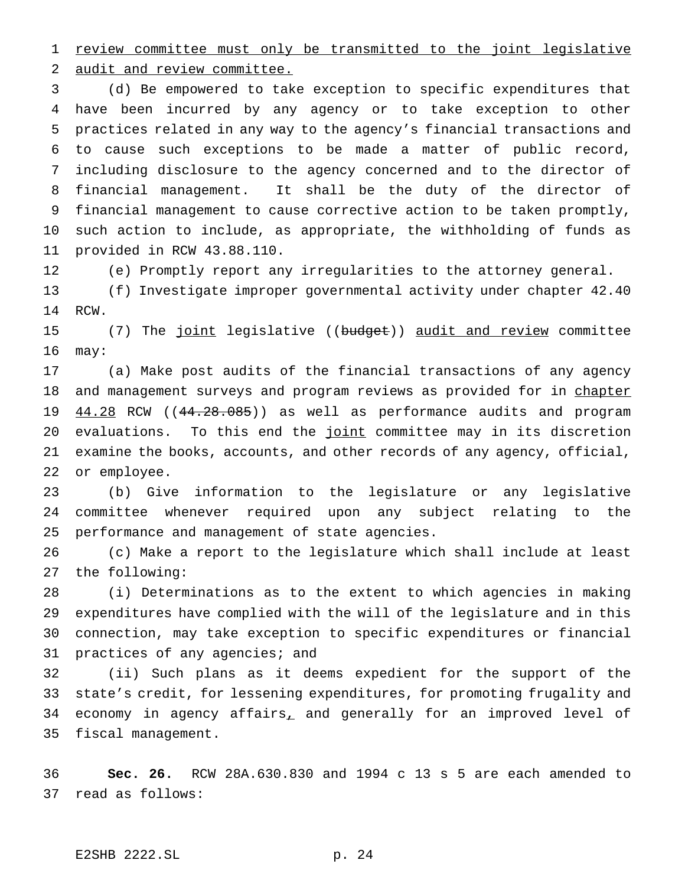1 review committee must only be transmitted to the joint legislative audit and review committee.

 (d) Be empowered to take exception to specific expenditures that have been incurred by any agency or to take exception to other practices related in any way to the agency's financial transactions and to cause such exceptions to be made a matter of public record, including disclosure to the agency concerned and to the director of financial management. It shall be the duty of the director of financial management to cause corrective action to be taken promptly, such action to include, as appropriate, the withholding of funds as provided in RCW 43.88.110.

(e) Promptly report any irregularities to the attorney general.

 (f) Investigate improper governmental activity under chapter 42.40 RCW.

15 (7) The joint legislative ((budget)) audit and review committee may:

 (a) Make post audits of the financial transactions of any agency 18 and management surveys and program reviews as provided for in chapter 19 44.28 RCW ((44.28.085)) as well as performance audits and program 20 evaluations. To this end the joint committee may in its discretion examine the books, accounts, and other records of any agency, official, or employee.

 (b) Give information to the legislature or any legislative committee whenever required upon any subject relating to the performance and management of state agencies.

 (c) Make a report to the legislature which shall include at least the following:

 (i) Determinations as to the extent to which agencies in making expenditures have complied with the will of the legislature and in this connection, may take exception to specific expenditures or financial practices of any agencies; and

 (ii) Such plans as it deems expedient for the support of the state's credit, for lessening expenditures, for promoting frugality and 34 economy in agency affairs, and generally for an improved level of fiscal management.

 **Sec. 26.** RCW 28A.630.830 and 1994 c 13 s 5 are each amended to read as follows: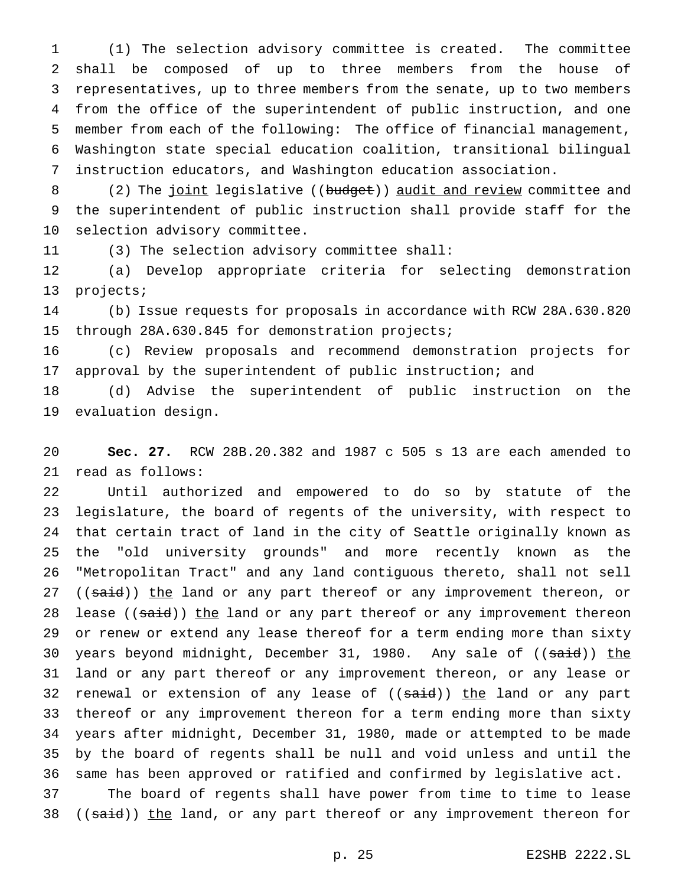(1) The selection advisory committee is created. The committee shall be composed of up to three members from the house of representatives, up to three members from the senate, up to two members from the office of the superintendent of public instruction, and one member from each of the following: The office of financial management, Washington state special education coalition, transitional bilingual instruction educators, and Washington education association.

8 (2) The joint legislative ((budget)) audit and review committee and the superintendent of public instruction shall provide staff for the selection advisory committee.

(3) The selection advisory committee shall:

 (a) Develop appropriate criteria for selecting demonstration projects;

 (b) Issue requests for proposals in accordance with RCW 28A.630.820 through 28A.630.845 for demonstration projects;

 (c) Review proposals and recommend demonstration projects for approval by the superintendent of public instruction; and

 (d) Advise the superintendent of public instruction on the evaluation design.

 **Sec. 27.** RCW 28B.20.382 and 1987 c 505 s 13 are each amended to read as follows:

 Until authorized and empowered to do so by statute of the legislature, the board of regents of the university, with respect to that certain tract of land in the city of Seattle originally known as the "old university grounds" and more recently known as the "Metropolitan Tract" and any land contiguous thereto, shall not sell 27 ((said)) the land or any part thereof or any improvement thereon, or 28 lease ((said)) the land or any part thereof or any improvement thereon or renew or extend any lease thereof for a term ending more than sixty 30 years beyond midnight, December 31, 1980. Any sale of ((said)) the land or any part thereof or any improvement thereon, or any lease or 32 renewal or extension of any lease of ((said)) the land or any part thereof or any improvement thereon for a term ending more than sixty years after midnight, December 31, 1980, made or attempted to be made by the board of regents shall be null and void unless and until the same has been approved or ratified and confirmed by legislative act.

 The board of regents shall have power from time to time to lease 38 ((said)) the land, or any part thereof or any improvement thereon for

p. 25 E2SHB 2222.SL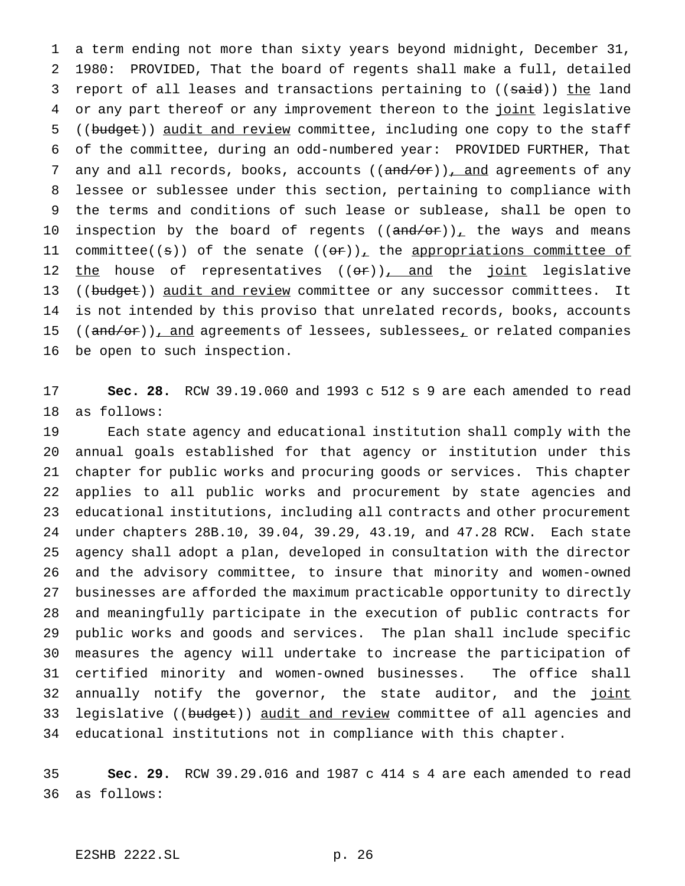a term ending not more than sixty years beyond midnight, December 31, 1980: PROVIDED, That the board of regents shall make a full, detailed 3 report of all leases and transactions pertaining to ((said)) the land 4 or any part thereof or any improvement thereon to the joint legislative 5 ((budget)) audit and review committee, including one copy to the staff of the committee, during an odd-numbered year: PROVIDED FURTHER, That 7 any and all records, books, accounts ((and/or)), and agreements of any lessee or sublessee under this section, pertaining to compliance with the terms and conditions of such lease or sublease, shall be open to 10 inspection by the board of regents  $((and/or))_{\perp}$  the ways and means 11 committee(( $\pm$ )) of the senate (( $\theta$ ))<sub> $\pm$ </sub> the appropriations committee of 12 the house of representatives ((or)), and the joint legislative 13 ((budget)) audit and review committee or any successor committees. It is not intended by this proviso that unrelated records, books, accounts 15 ((and/or)), and agreements of lessees, sublessees, or related companies be open to such inspection.

 **Sec. 28.** RCW 39.19.060 and 1993 c 512 s 9 are each amended to read as follows:

 Each state agency and educational institution shall comply with the annual goals established for that agency or institution under this chapter for public works and procuring goods or services. This chapter applies to all public works and procurement by state agencies and educational institutions, including all contracts and other procurement under chapters 28B.10, 39.04, 39.29, 43.19, and 47.28 RCW. Each state agency shall adopt a plan, developed in consultation with the director and the advisory committee, to insure that minority and women-owned businesses are afforded the maximum practicable opportunity to directly and meaningfully participate in the execution of public contracts for public works and goods and services. The plan shall include specific measures the agency will undertake to increase the participation of certified minority and women-owned businesses. The office shall 32 annually notify the governor, the state auditor, and the joint 33 legislative ((budget)) audit and review committee of all agencies and educational institutions not in compliance with this chapter.

 **Sec. 29.** RCW 39.29.016 and 1987 c 414 s 4 are each amended to read as follows: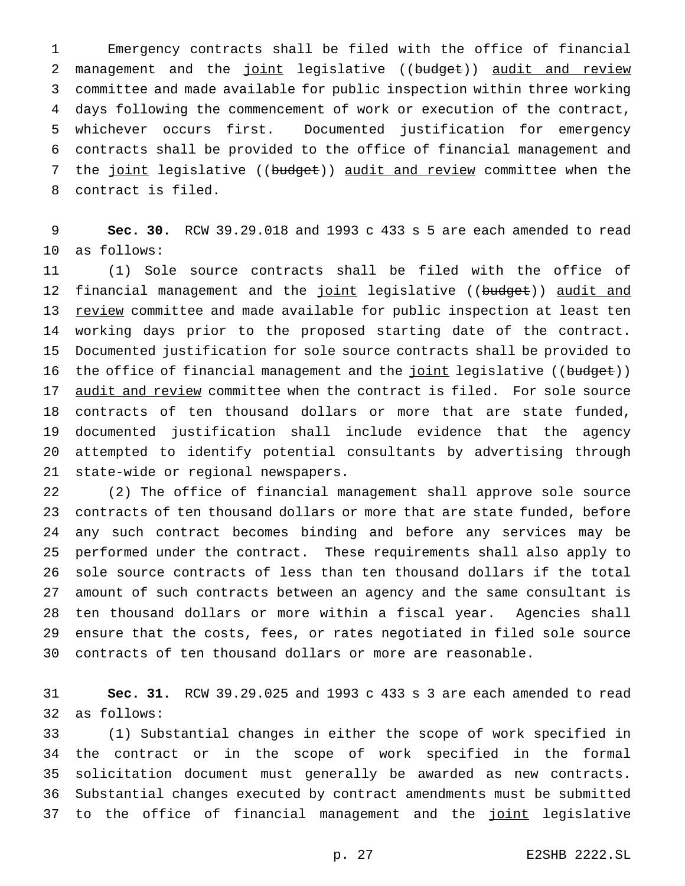Emergency contracts shall be filed with the office of financial 2 management and the joint legislative ((budget)) audit and review committee and made available for public inspection within three working days following the commencement of work or execution of the contract, whichever occurs first. Documented justification for emergency contracts shall be provided to the office of financial management and 7 the joint legislative ((budget)) audit and review committee when the contract is filed.

 **Sec. 30.** RCW 39.29.018 and 1993 c 433 s 5 are each amended to read as follows:

 (1) Sole source contracts shall be filed with the office of 12 financial management and the joint legislative ((budget)) audit and 13 review committee and made available for public inspection at least ten working days prior to the proposed starting date of the contract. Documented justification for sole source contracts shall be provided to 16 the office of financial management and the joint legislative ((budget)) 17 <u>audit and review</u> committee when the contract is filed. For sole source contracts of ten thousand dollars or more that are state funded, documented justification shall include evidence that the agency attempted to identify potential consultants by advertising through state-wide or regional newspapers.

 (2) The office of financial management shall approve sole source contracts of ten thousand dollars or more that are state funded, before any such contract becomes binding and before any services may be performed under the contract. These requirements shall also apply to sole source contracts of less than ten thousand dollars if the total amount of such contracts between an agency and the same consultant is ten thousand dollars or more within a fiscal year. Agencies shall ensure that the costs, fees, or rates negotiated in filed sole source contracts of ten thousand dollars or more are reasonable.

 **Sec. 31.** RCW 39.29.025 and 1993 c 433 s 3 are each amended to read as follows:

 (1) Substantial changes in either the scope of work specified in the contract or in the scope of work specified in the formal solicitation document must generally be awarded as new contracts. Substantial changes executed by contract amendments must be submitted 37 to the office of financial management and the joint legislative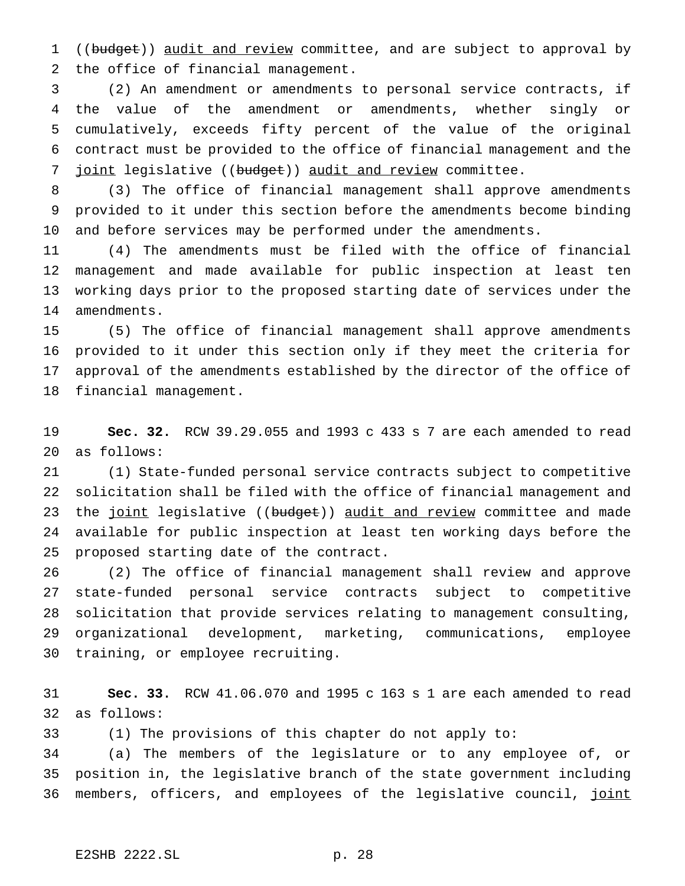1 ((budget)) audit and review committee, and are subject to approval by the office of financial management.

 (2) An amendment or amendments to personal service contracts, if the value of the amendment or amendments, whether singly or cumulatively, exceeds fifty percent of the value of the original contract must be provided to the office of financial management and the 7 joint legislative ((budget)) audit and review committee.

 (3) The office of financial management shall approve amendments provided to it under this section before the amendments become binding and before services may be performed under the amendments.

 (4) The amendments must be filed with the office of financial management and made available for public inspection at least ten working days prior to the proposed starting date of services under the amendments.

 (5) The office of financial management shall approve amendments provided to it under this section only if they meet the criteria for approval of the amendments established by the director of the office of financial management.

 **Sec. 32.** RCW 39.29.055 and 1993 c 433 s 7 are each amended to read as follows:

 (1) State-funded personal service contracts subject to competitive solicitation shall be filed with the office of financial management and 23 the joint legislative ((budget)) audit and review committee and made available for public inspection at least ten working days before the proposed starting date of the contract.

 (2) The office of financial management shall review and approve state-funded personal service contracts subject to competitive solicitation that provide services relating to management consulting, organizational development, marketing, communications, employee training, or employee recruiting.

 **Sec. 33.** RCW 41.06.070 and 1995 c 163 s 1 are each amended to read as follows:

(1) The provisions of this chapter do not apply to:

 (a) The members of the legislature or to any employee of, or position in, the legislative branch of the state government including 36 members, officers, and employees of the legislative council, joint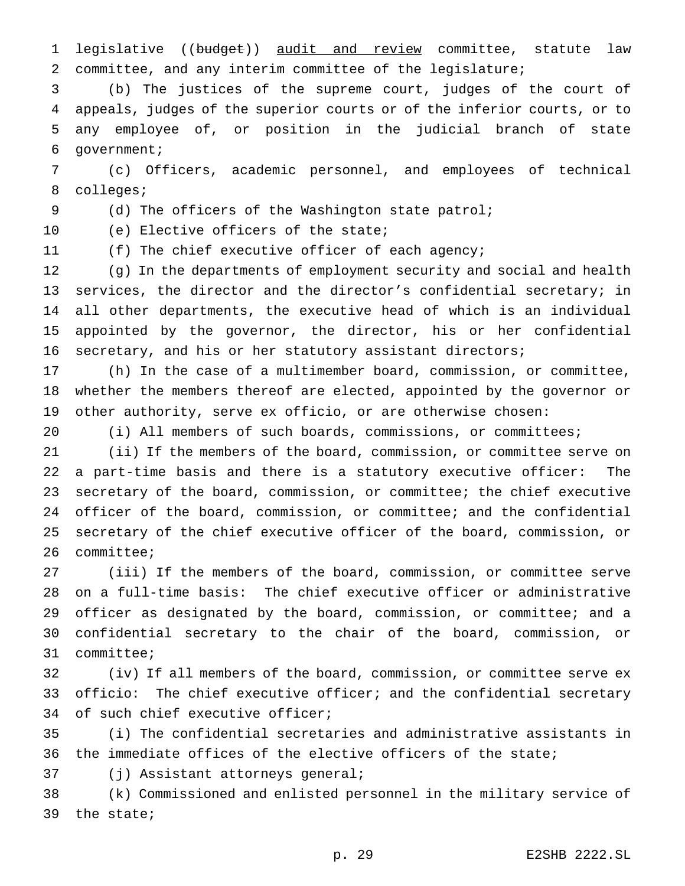1 legislative ((budget)) audit and review committee, statute law committee, and any interim committee of the legislature;

 (b) The justices of the supreme court, judges of the court of appeals, judges of the superior courts or of the inferior courts, or to any employee of, or position in the judicial branch of state government;

 (c) Officers, academic personnel, and employees of technical colleges;

(d) The officers of the Washington state patrol;

(e) Elective officers of the state;

(f) The chief executive officer of each agency;

 (g) In the departments of employment security and social and health services, the director and the director's confidential secretary; in all other departments, the executive head of which is an individual appointed by the governor, the director, his or her confidential secretary, and his or her statutory assistant directors;

 (h) In the case of a multimember board, commission, or committee, whether the members thereof are elected, appointed by the governor or other authority, serve ex officio, or are otherwise chosen:

(i) All members of such boards, commissions, or committees;

 (ii) If the members of the board, commission, or committee serve on a part-time basis and there is a statutory executive officer: The secretary of the board, commission, or committee; the chief executive officer of the board, commission, or committee; and the confidential secretary of the chief executive officer of the board, commission, or committee;

 (iii) If the members of the board, commission, or committee serve on a full-time basis: The chief executive officer or administrative officer as designated by the board, commission, or committee; and a confidential secretary to the chair of the board, commission, or committee;

 (iv) If all members of the board, commission, or committee serve ex officio: The chief executive officer; and the confidential secretary of such chief executive officer;

 (i) The confidential secretaries and administrative assistants in the immediate offices of the elective officers of the state;

(j) Assistant attorneys general;

 (k) Commissioned and enlisted personnel in the military service of the state;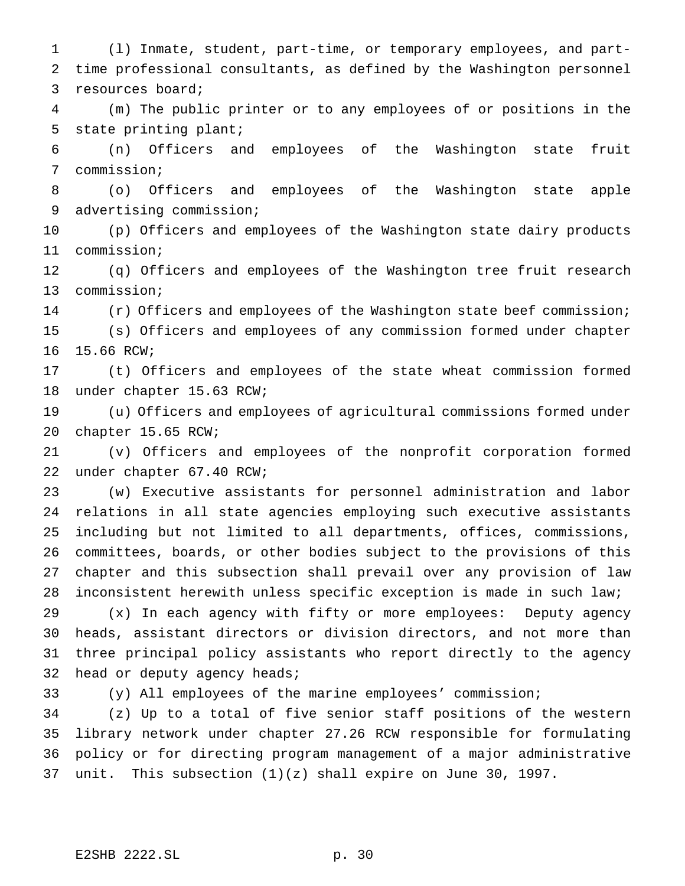(l) Inmate, student, part-time, or temporary employees, and part- time professional consultants, as defined by the Washington personnel resources board;

 (m) The public printer or to any employees of or positions in the state printing plant;

 (n) Officers and employees of the Washington state fruit commission;

 (o) Officers and employees of the Washington state apple advertising commission;

 (p) Officers and employees of the Washington state dairy products commission;

 (q) Officers and employees of the Washington tree fruit research commission;

(r) Officers and employees of the Washington state beef commission;

 (s) Officers and employees of any commission formed under chapter 15.66 RCW;

 (t) Officers and employees of the state wheat commission formed under chapter 15.63 RCW;

 (u) Officers and employees of agricultural commissions formed under chapter 15.65 RCW;

 (v) Officers and employees of the nonprofit corporation formed under chapter 67.40 RCW;

 (w) Executive assistants for personnel administration and labor relations in all state agencies employing such executive assistants including but not limited to all departments, offices, commissions, committees, boards, or other bodies subject to the provisions of this chapter and this subsection shall prevail over any provision of law inconsistent herewith unless specific exception is made in such law;

 (x) In each agency with fifty or more employees: Deputy agency heads, assistant directors or division directors, and not more than three principal policy assistants who report directly to the agency head or deputy agency heads;

(y) All employees of the marine employees' commission;

 (z) Up to a total of five senior staff positions of the western library network under chapter 27.26 RCW responsible for formulating policy or for directing program management of a major administrative unit. This subsection (1)(z) shall expire on June 30, 1997.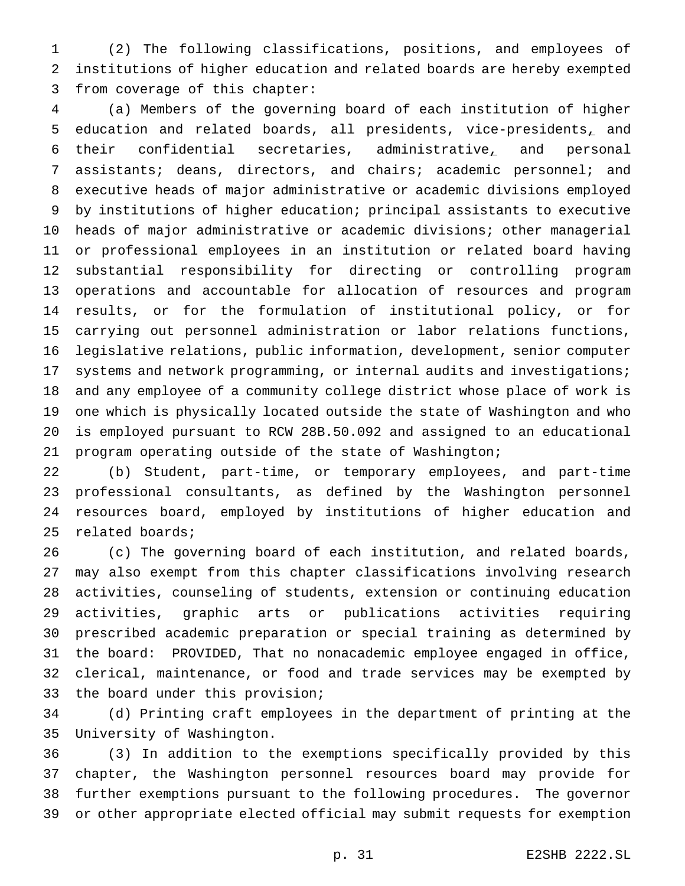(2) The following classifications, positions, and employees of institutions of higher education and related boards are hereby exempted from coverage of this chapter:

 (a) Members of the governing board of each institution of higher education and related boards, all presidents, vice-presidents, and their confidential secretaries, administrative, and personal assistants; deans, directors, and chairs; academic personnel; and executive heads of major administrative or academic divisions employed by institutions of higher education; principal assistants to executive heads of major administrative or academic divisions; other managerial or professional employees in an institution or related board having substantial responsibility for directing or controlling program operations and accountable for allocation of resources and program results, or for the formulation of institutional policy, or for carrying out personnel administration or labor relations functions, legislative relations, public information, development, senior computer systems and network programming, or internal audits and investigations; and any employee of a community college district whose place of work is one which is physically located outside the state of Washington and who is employed pursuant to RCW 28B.50.092 and assigned to an educational program operating outside of the state of Washington;

 (b) Student, part-time, or temporary employees, and part-time professional consultants, as defined by the Washington personnel resources board, employed by institutions of higher education and related boards;

 (c) The governing board of each institution, and related boards, may also exempt from this chapter classifications involving research activities, counseling of students, extension or continuing education activities, graphic arts or publications activities requiring prescribed academic preparation or special training as determined by the board: PROVIDED, That no nonacademic employee engaged in office, clerical, maintenance, or food and trade services may be exempted by the board under this provision;

 (d) Printing craft employees in the department of printing at the University of Washington.

 (3) In addition to the exemptions specifically provided by this chapter, the Washington personnel resources board may provide for further exemptions pursuant to the following procedures. The governor or other appropriate elected official may submit requests for exemption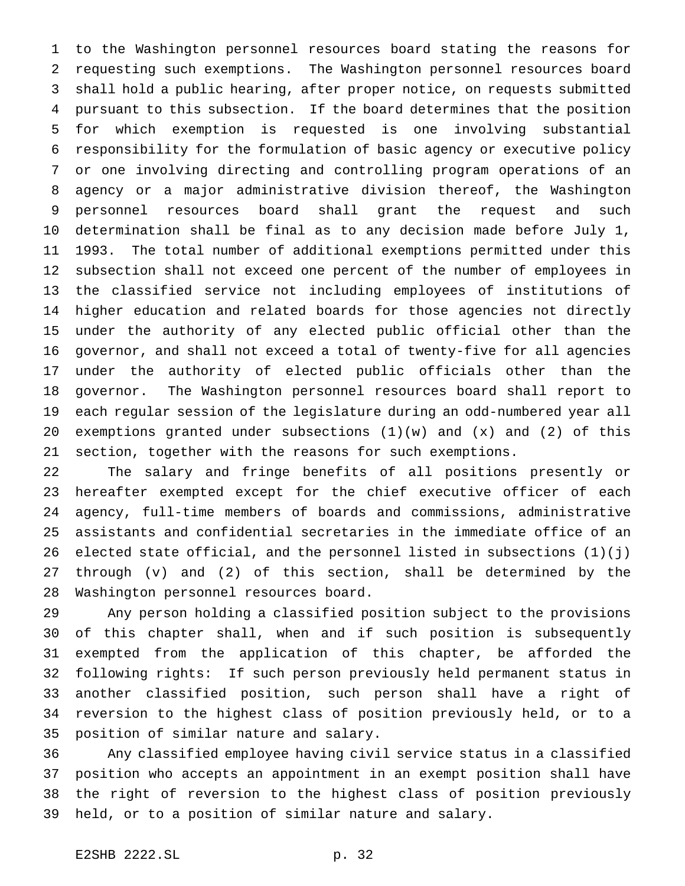to the Washington personnel resources board stating the reasons for requesting such exemptions. The Washington personnel resources board shall hold a public hearing, after proper notice, on requests submitted pursuant to this subsection. If the board determines that the position for which exemption is requested is one involving substantial responsibility for the formulation of basic agency or executive policy or one involving directing and controlling program operations of an agency or a major administrative division thereof, the Washington personnel resources board shall grant the request and such determination shall be final as to any decision made before July 1, 1993. The total number of additional exemptions permitted under this subsection shall not exceed one percent of the number of employees in the classified service not including employees of institutions of higher education and related boards for those agencies not directly under the authority of any elected public official other than the governor, and shall not exceed a total of twenty-five for all agencies under the authority of elected public officials other than the governor. The Washington personnel resources board shall report to each regular session of the legislature during an odd-numbered year all 20 exemptions granted under subsections  $(1)(w)$  and  $(x)$  and  $(2)$  of this section, together with the reasons for such exemptions.

 The salary and fringe benefits of all positions presently or hereafter exempted except for the chief executive officer of each agency, full-time members of boards and commissions, administrative assistants and confidential secretaries in the immediate office of an elected state official, and the personnel listed in subsections (1)(j) through (v) and (2) of this section, shall be determined by the Washington personnel resources board.

 Any person holding a classified position subject to the provisions of this chapter shall, when and if such position is subsequently exempted from the application of this chapter, be afforded the following rights: If such person previously held permanent status in another classified position, such person shall have a right of reversion to the highest class of position previously held, or to a position of similar nature and salary.

 Any classified employee having civil service status in a classified position who accepts an appointment in an exempt position shall have the right of reversion to the highest class of position previously held, or to a position of similar nature and salary.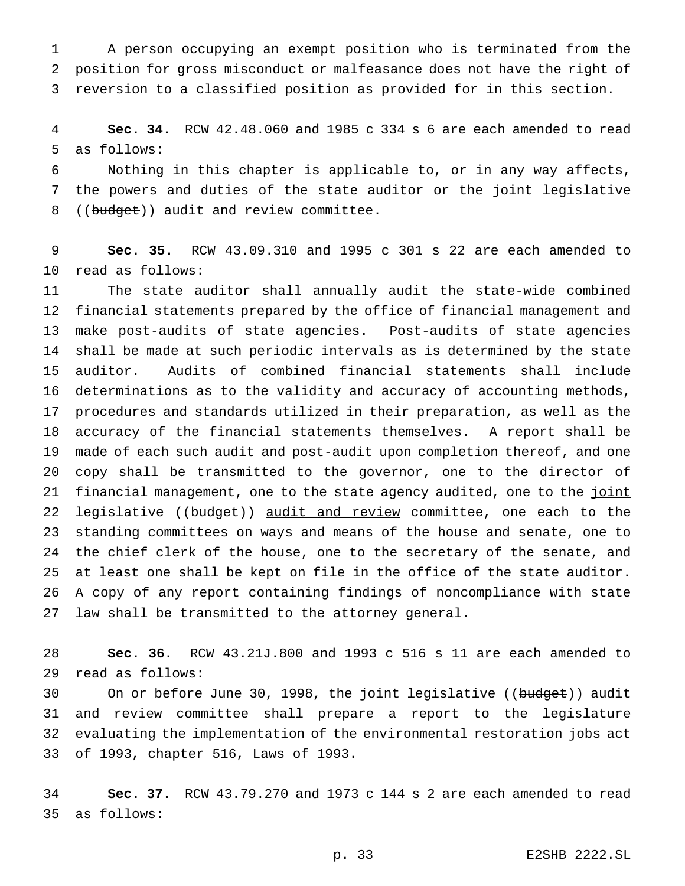A person occupying an exempt position who is terminated from the position for gross misconduct or malfeasance does not have the right of reversion to a classified position as provided for in this section.

 **Sec. 34.** RCW 42.48.060 and 1985 c 334 s 6 are each amended to read as follows:

 Nothing in this chapter is applicable to, or in any way affects, 7 the powers and duties of the state auditor or the joint legislative 8 ((budget)) audit and review committee.

 **Sec. 35.** RCW 43.09.310 and 1995 c 301 s 22 are each amended to read as follows:

 The state auditor shall annually audit the state-wide combined financial statements prepared by the office of financial management and make post-audits of state agencies. Post-audits of state agencies shall be made at such periodic intervals as is determined by the state auditor. Audits of combined financial statements shall include determinations as to the validity and accuracy of accounting methods, procedures and standards utilized in their preparation, as well as the accuracy of the financial statements themselves. A report shall be made of each such audit and post-audit upon completion thereof, and one copy shall be transmitted to the governor, one to the director of 21 financial management, one to the state agency audited, one to the joint 22 legislative ((budget)) audit and review committee, one each to the standing committees on ways and means of the house and senate, one to the chief clerk of the house, one to the secretary of the senate, and at least one shall be kept on file in the office of the state auditor. A copy of any report containing findings of noncompliance with state law shall be transmitted to the attorney general.

 **Sec. 36.** RCW 43.21J.800 and 1993 c 516 s 11 are each amended to read as follows:

30 On or before June 30, 1998, the joint legislative ((budget)) audit 31 and review committee shall prepare a report to the legislature evaluating the implementation of the environmental restoration jobs act of 1993, chapter 516, Laws of 1993.

 **Sec. 37.** RCW 43.79.270 and 1973 c 144 s 2 are each amended to read as follows: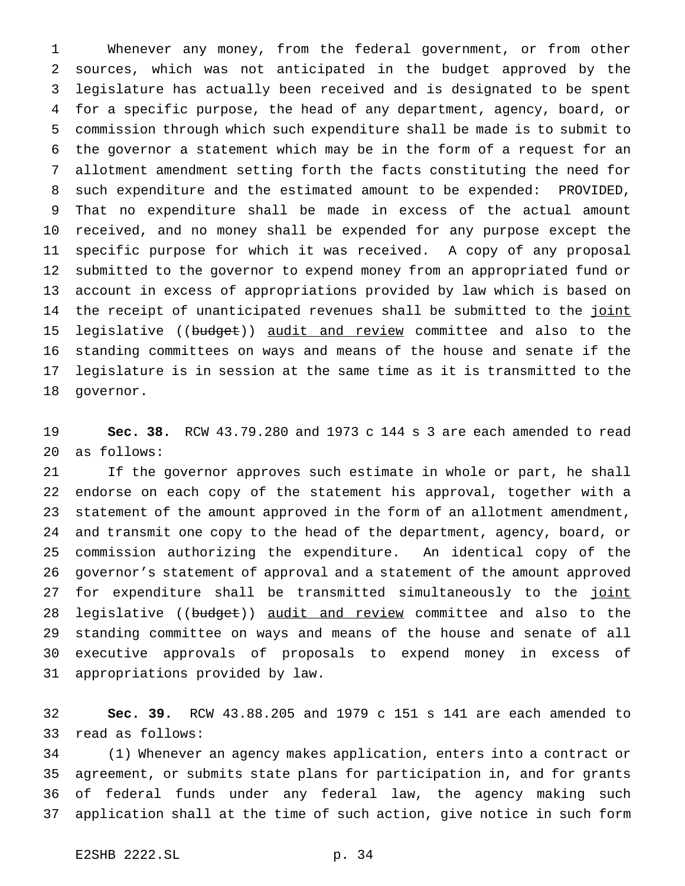Whenever any money, from the federal government, or from other sources, which was not anticipated in the budget approved by the legislature has actually been received and is designated to be spent for a specific purpose, the head of any department, agency, board, or commission through which such expenditure shall be made is to submit to the governor a statement which may be in the form of a request for an allotment amendment setting forth the facts constituting the need for such expenditure and the estimated amount to be expended: PROVIDED, That no expenditure shall be made in excess of the actual amount received, and no money shall be expended for any purpose except the specific purpose for which it was received. A copy of any proposal submitted to the governor to expend money from an appropriated fund or account in excess of appropriations provided by law which is based on 14 the receipt of unanticipated revenues shall be submitted to the joint 15 legislative ((budget)) audit and review committee and also to the standing committees on ways and means of the house and senate if the legislature is in session at the same time as it is transmitted to the governor.

 **Sec. 38.** RCW 43.79.280 and 1973 c 144 s 3 are each amended to read as follows:

 If the governor approves such estimate in whole or part, he shall endorse on each copy of the statement his approval, together with a statement of the amount approved in the form of an allotment amendment, and transmit one copy to the head of the department, agency, board, or commission authorizing the expenditure. An identical copy of the governor's statement of approval and a statement of the amount approved 27 for expenditure shall be transmitted simultaneously to the joint 28 legislative ((budget)) audit and review committee and also to the standing committee on ways and means of the house and senate of all executive approvals of proposals to expend money in excess of appropriations provided by law.

 **Sec. 39.** RCW 43.88.205 and 1979 c 151 s 141 are each amended to read as follows:

 (1) Whenever an agency makes application, enters into a contract or agreement, or submits state plans for participation in, and for grants of federal funds under any federal law, the agency making such application shall at the time of such action, give notice in such form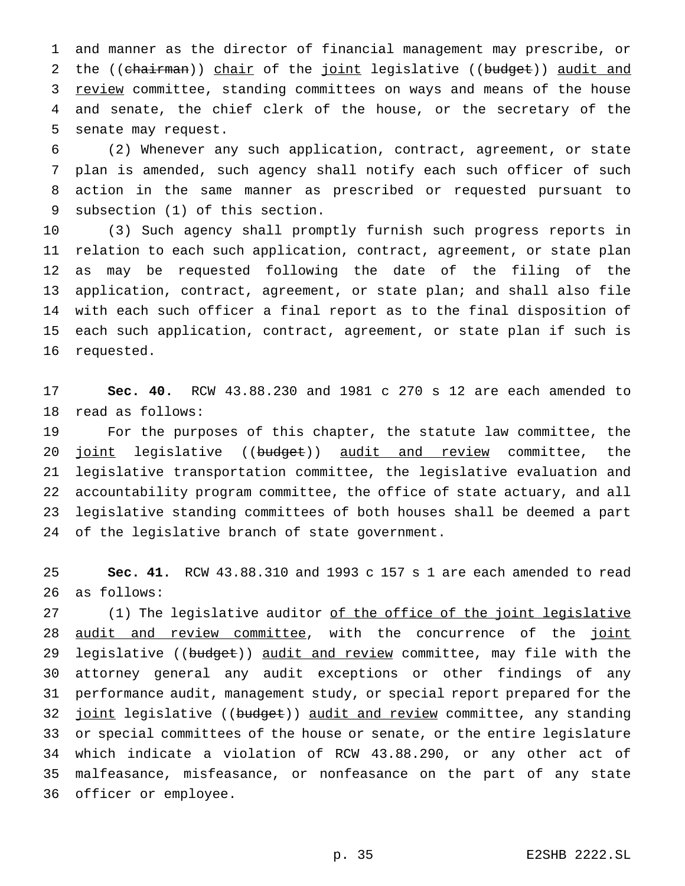and manner as the director of financial management may prescribe, or 2 the ((chairman)) chair of the joint legislative ((budget)) audit and 3 review committee, standing committees on ways and means of the house and senate, the chief clerk of the house, or the secretary of the senate may request.

 (2) Whenever any such application, contract, agreement, or state plan is amended, such agency shall notify each such officer of such action in the same manner as prescribed or requested pursuant to subsection (1) of this section.

 (3) Such agency shall promptly furnish such progress reports in relation to each such application, contract, agreement, or state plan as may be requested following the date of the filing of the application, contract, agreement, or state plan; and shall also file with each such officer a final report as to the final disposition of each such application, contract, agreement, or state plan if such is requested.

 **Sec. 40.** RCW 43.88.230 and 1981 c 270 s 12 are each amended to read as follows:

 For the purposes of this chapter, the statute law committee, the 20 joint legislative ((budget)) audit and review committee, the legislative transportation committee, the legislative evaluation and accountability program committee, the office of state actuary, and all legislative standing committees of both houses shall be deemed a part of the legislative branch of state government.

 **Sec. 41.** RCW 43.88.310 and 1993 c 157 s 1 are each amended to read as follows:

27 (1) The legislative auditor of the office of the joint legislative 28 audit and review committee, with the concurrence of the joint 29 legislative ((budget)) audit and review committee, may file with the attorney general any audit exceptions or other findings of any performance audit, management study, or special report prepared for the 32 joint legislative ((budget)) audit and review committee, any standing or special committees of the house or senate, or the entire legislature which indicate a violation of RCW 43.88.290, or any other act of malfeasance, misfeasance, or nonfeasance on the part of any state officer or employee.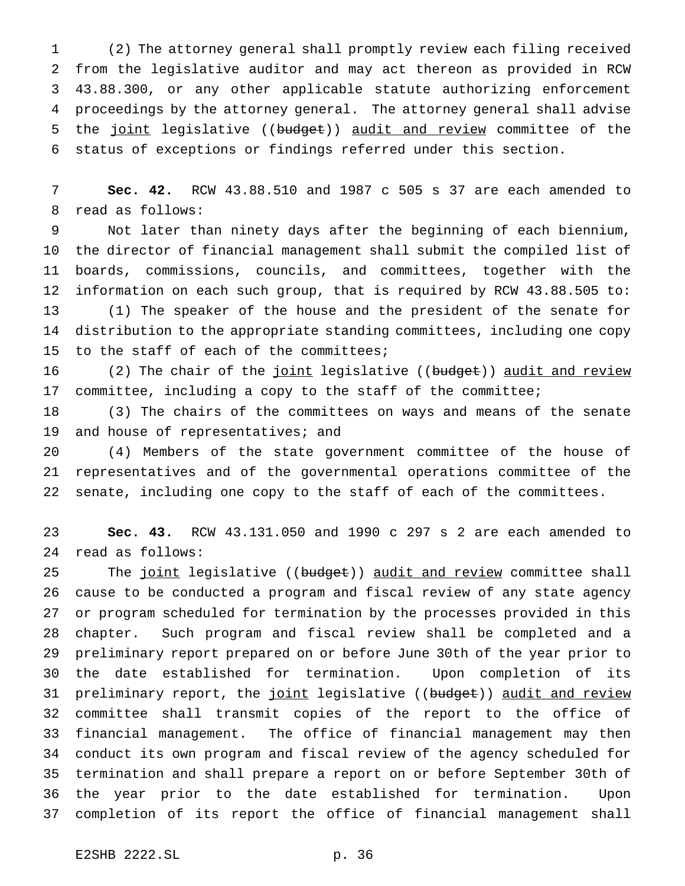(2) The attorney general shall promptly review each filing received from the legislative auditor and may act thereon as provided in RCW 43.88.300, or any other applicable statute authorizing enforcement proceedings by the attorney general. The attorney general shall advise 5 the joint legislative ((budget)) audit and review committee of the status of exceptions or findings referred under this section.

 **Sec. 42.** RCW 43.88.510 and 1987 c 505 s 37 are each amended to read as follows:

 Not later than ninety days after the beginning of each biennium, the director of financial management shall submit the compiled list of boards, commissions, councils, and committees, together with the information on each such group, that is required by RCW 43.88.505 to: (1) The speaker of the house and the president of the senate for distribution to the appropriate standing committees, including one copy to the staff of each of the committees;

16 (2) The chair of the joint legislative ((budget)) audit and review committee, including a copy to the staff of the committee;

 (3) The chairs of the committees on ways and means of the senate 19 and house of representatives; and

 (4) Members of the state government committee of the house of representatives and of the governmental operations committee of the senate, including one copy to the staff of each of the committees.

 **Sec. 43.** RCW 43.131.050 and 1990 c 297 s 2 are each amended to read as follows:

25 The joint legislative ((budget)) audit and review committee shall cause to be conducted a program and fiscal review of any state agency or program scheduled for termination by the processes provided in this chapter. Such program and fiscal review shall be completed and a preliminary report prepared on or before June 30th of the year prior to the date established for termination. Upon completion of its 31 preliminary report, the joint legislative ((budget)) audit and review committee shall transmit copies of the report to the office of financial management. The office of financial management may then conduct its own program and fiscal review of the agency scheduled for termination and shall prepare a report on or before September 30th of the year prior to the date established for termination. Upon completion of its report the office of financial management shall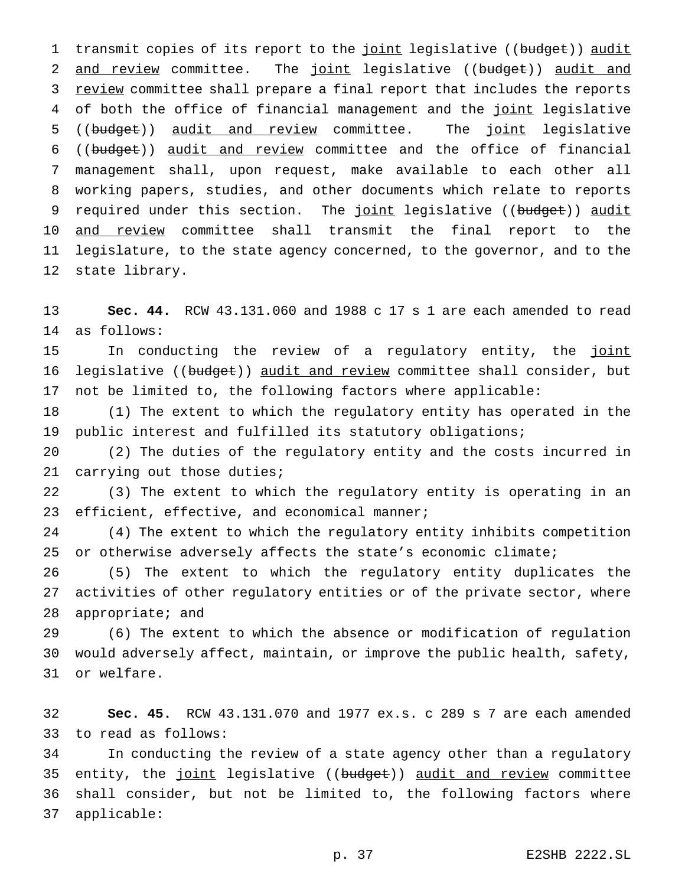1 transmit copies of its report to the joint legislative ((budget)) audit 2 and review committee. The joint legislative ((budget)) audit and 3 review committee shall prepare a final report that includes the reports 4 of both the office of financial management and the joint legislative 5 ((budget)) audit and review committee. The joint legislative ((budget)) audit and review committee and the office of financial management shall, upon request, make available to each other all working papers, studies, and other documents which relate to reports 9 required under this section. The joint legislative ((budget)) audit 10 and review committee shall transmit the final report to the legislature, to the state agency concerned, to the governor, and to the state library.

 **Sec. 44.** RCW 43.131.060 and 1988 c 17 s 1 are each amended to read as follows:

15 In conducting the review of a regulatory entity, the joint 16 legislative ((budget)) audit and review committee shall consider, but not be limited to, the following factors where applicable:

 (1) The extent to which the regulatory entity has operated in the public interest and fulfilled its statutory obligations;

 (2) The duties of the regulatory entity and the costs incurred in 21 carrying out those duties;

 (3) The extent to which the regulatory entity is operating in an 23 efficient, effective, and economical manner;

 (4) The extent to which the regulatory entity inhibits competition or otherwise adversely affects the state's economic climate;

 (5) The extent to which the regulatory entity duplicates the activities of other regulatory entities or of the private sector, where appropriate; and

 (6) The extent to which the absence or modification of regulation would adversely affect, maintain, or improve the public health, safety, or welfare.

 **Sec. 45.** RCW 43.131.070 and 1977 ex.s. c 289 s 7 are each amended to read as follows:

 In conducting the review of a state agency other than a regulatory 35 entity, the joint legislative ((budget)) audit and review committee shall consider, but not be limited to, the following factors where applicable: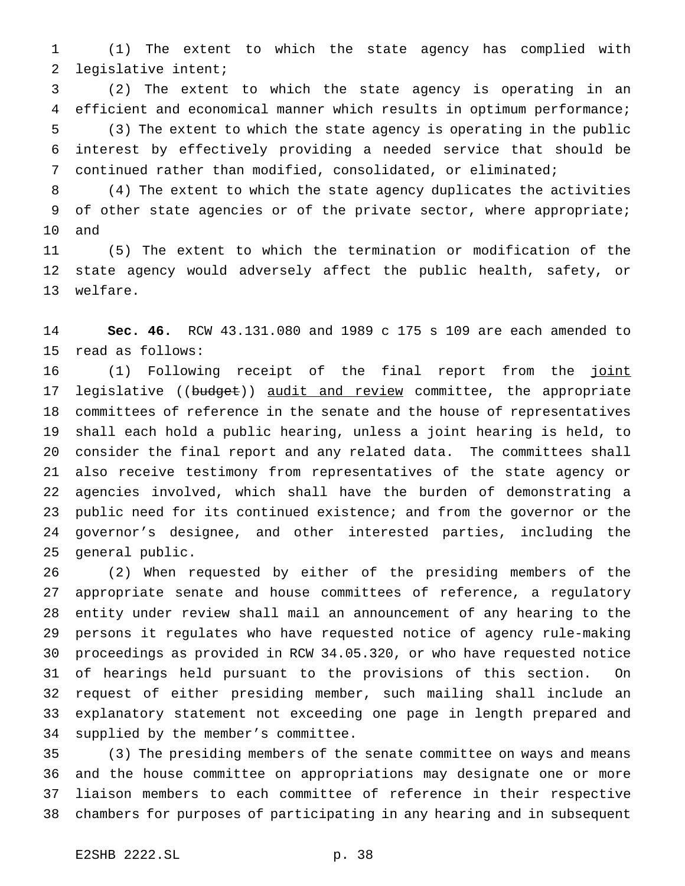(1) The extent to which the state agency has complied with legislative intent;

 (2) The extent to which the state agency is operating in an efficient and economical manner which results in optimum performance; (3) The extent to which the state agency is operating in the public interest by effectively providing a needed service that should be continued rather than modified, consolidated, or eliminated;

 (4) The extent to which the state agency duplicates the activities 9 of other state agencies or of the private sector, where appropriate; and

 (5) The extent to which the termination or modification of the state agency would adversely affect the public health, safety, or welfare.

 **Sec. 46.** RCW 43.131.080 and 1989 c 175 s 109 are each amended to read as follows:

16 (1) Following receipt of the final report from the joint 17 legislative ((budget)) audit and review committee, the appropriate committees of reference in the senate and the house of representatives shall each hold a public hearing, unless a joint hearing is held, to consider the final report and any related data. The committees shall also receive testimony from representatives of the state agency or agencies involved, which shall have the burden of demonstrating a public need for its continued existence; and from the governor or the governor's designee, and other interested parties, including the general public.

 (2) When requested by either of the presiding members of the appropriate senate and house committees of reference, a regulatory entity under review shall mail an announcement of any hearing to the persons it regulates who have requested notice of agency rule-making proceedings as provided in RCW 34.05.320, or who have requested notice of hearings held pursuant to the provisions of this section. On request of either presiding member, such mailing shall include an explanatory statement not exceeding one page in length prepared and supplied by the member's committee.

 (3) The presiding members of the senate committee on ways and means and the house committee on appropriations may designate one or more liaison members to each committee of reference in their respective chambers for purposes of participating in any hearing and in subsequent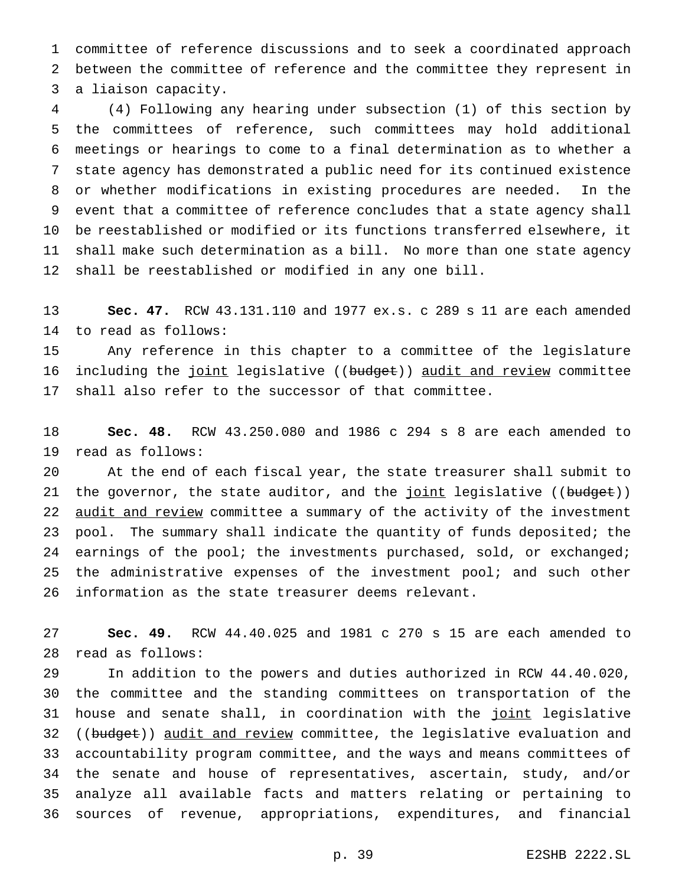committee of reference discussions and to seek a coordinated approach between the committee of reference and the committee they represent in a liaison capacity.

 (4) Following any hearing under subsection (1) of this section by the committees of reference, such committees may hold additional meetings or hearings to come to a final determination as to whether a state agency has demonstrated a public need for its continued existence or whether modifications in existing procedures are needed. In the event that a committee of reference concludes that a state agency shall be reestablished or modified or its functions transferred elsewhere, it shall make such determination as a bill. No more than one state agency shall be reestablished or modified in any one bill.

 **Sec. 47.** RCW 43.131.110 and 1977 ex.s. c 289 s 11 are each amended to read as follows:

 Any reference in this chapter to a committee of the legislature 16 including the joint legislative ((budget)) audit and review committee shall also refer to the successor of that committee.

 **Sec. 48.** RCW 43.250.080 and 1986 c 294 s 8 are each amended to read as follows:

 At the end of each fiscal year, the state treasurer shall submit to 21 the governor, the state auditor, and the joint legislative ((budget)) 22 audit and review committee a summary of the activity of the investment pool. The summary shall indicate the quantity of funds deposited; the 24 earnings of the pool; the investments purchased, sold, or exchanged; 25 the administrative expenses of the investment  $pool:$  and such other information as the state treasurer deems relevant.

 **Sec. 49.** RCW 44.40.025 and 1981 c 270 s 15 are each amended to read as follows:

 In addition to the powers and duties authorized in RCW 44.40.020, the committee and the standing committees on transportation of the 31 house and senate shall, in coordination with the joint legislative 32 ((budget)) audit and review committee, the legislative evaluation and accountability program committee, and the ways and means committees of the senate and house of representatives, ascertain, study, and/or analyze all available facts and matters relating or pertaining to sources of revenue, appropriations, expenditures, and financial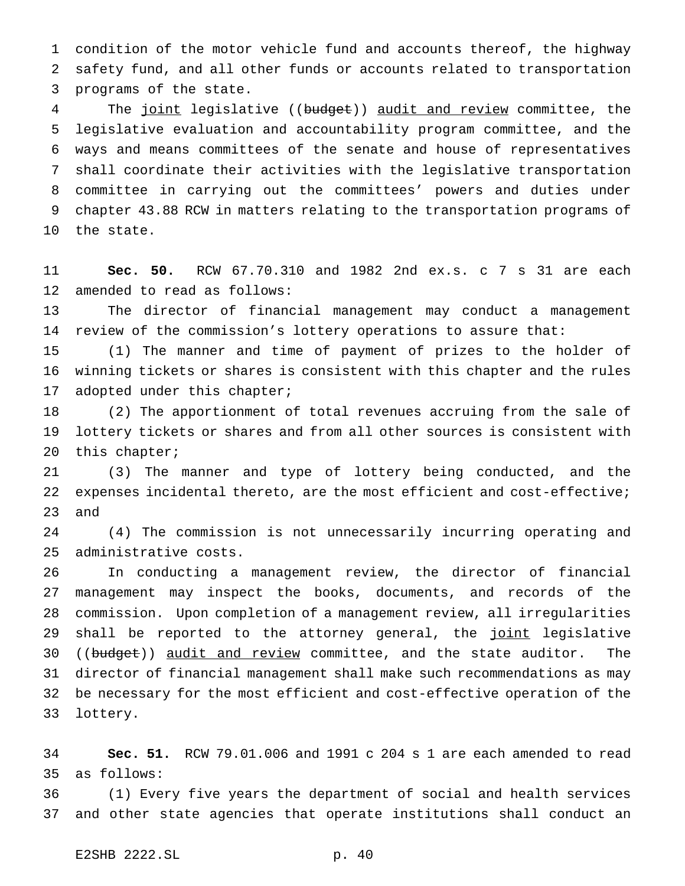condition of the motor vehicle fund and accounts thereof, the highway safety fund, and all other funds or accounts related to transportation programs of the state.

4 The joint legislative ((budget)) audit and review committee, the legislative evaluation and accountability program committee, and the ways and means committees of the senate and house of representatives shall coordinate their activities with the legislative transportation committee in carrying out the committees' powers and duties under chapter 43.88 RCW in matters relating to the transportation programs of the state.

 **Sec. 50.** RCW 67.70.310 and 1982 2nd ex.s. c 7 s 31 are each amended to read as follows:

 The director of financial management may conduct a management review of the commission's lottery operations to assure that:

 (1) The manner and time of payment of prizes to the holder of winning tickets or shares is consistent with this chapter and the rules adopted under this chapter;

 (2) The apportionment of total revenues accruing from the sale of lottery tickets or shares and from all other sources is consistent with this chapter;

 (3) The manner and type of lottery being conducted, and the 22 expenses incidental thereto, are the most efficient and cost-effective; and

 (4) The commission is not unnecessarily incurring operating and administrative costs.

 In conducting a management review, the director of financial management may inspect the books, documents, and records of the commission. Upon completion of a management review, all irregularities 29 shall be reported to the attorney general, the joint legislative 30 ((budget)) audit and review committee, and the state auditor. The director of financial management shall make such recommendations as may be necessary for the most efficient and cost-effective operation of the lottery.

 **Sec. 51.** RCW 79.01.006 and 1991 c 204 s 1 are each amended to read as follows:

 (1) Every five years the department of social and health services and other state agencies that operate institutions shall conduct an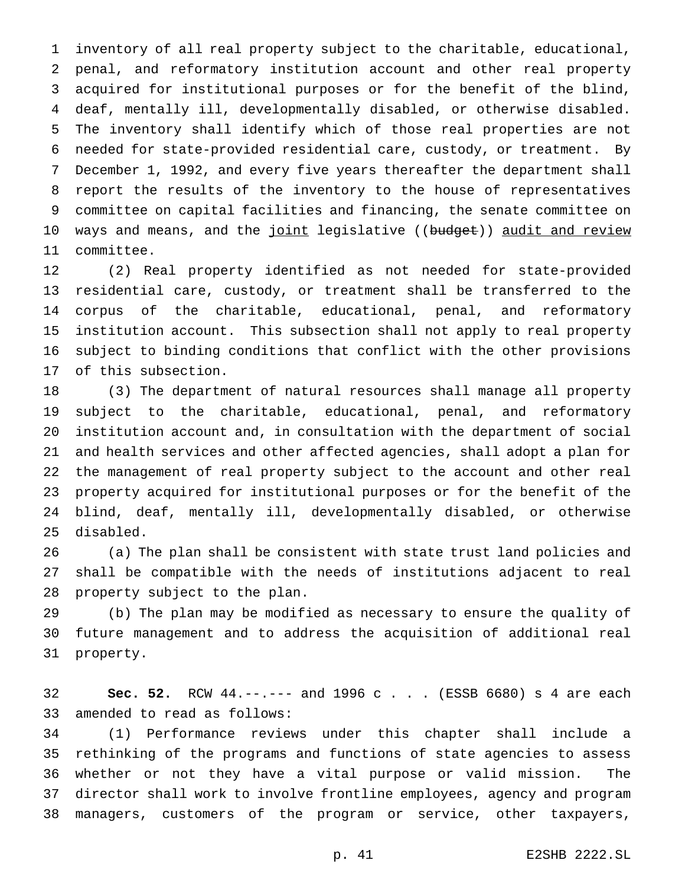inventory of all real property subject to the charitable, educational, penal, and reformatory institution account and other real property acquired for institutional purposes or for the benefit of the blind, deaf, mentally ill, developmentally disabled, or otherwise disabled. The inventory shall identify which of those real properties are not needed for state-provided residential care, custody, or treatment. By December 1, 1992, and every five years thereafter the department shall report the results of the inventory to the house of representatives committee on capital facilities and financing, the senate committee on 10 ways and means, and the joint legislative ((budget)) audit and review committee.

 (2) Real property identified as not needed for state-provided residential care, custody, or treatment shall be transferred to the corpus of the charitable, educational, penal, and reformatory institution account. This subsection shall not apply to real property subject to binding conditions that conflict with the other provisions of this subsection.

 (3) The department of natural resources shall manage all property subject to the charitable, educational, penal, and reformatory institution account and, in consultation with the department of social and health services and other affected agencies, shall adopt a plan for the management of real property subject to the account and other real property acquired for institutional purposes or for the benefit of the blind, deaf, mentally ill, developmentally disabled, or otherwise disabled.

 (a) The plan shall be consistent with state trust land policies and shall be compatible with the needs of institutions adjacent to real property subject to the plan.

 (b) The plan may be modified as necessary to ensure the quality of future management and to address the acquisition of additional real property.

 **Sec. 52.** RCW 44.--.--- and 1996c... (ESSB 6680) s 4 are each amended to read as follows:

 (1) Performance reviews under this chapter shall include a rethinking of the programs and functions of state agencies to assess whether or not they have a vital purpose or valid mission. The director shall work to involve frontline employees, agency and program managers, customers of the program or service, other taxpayers,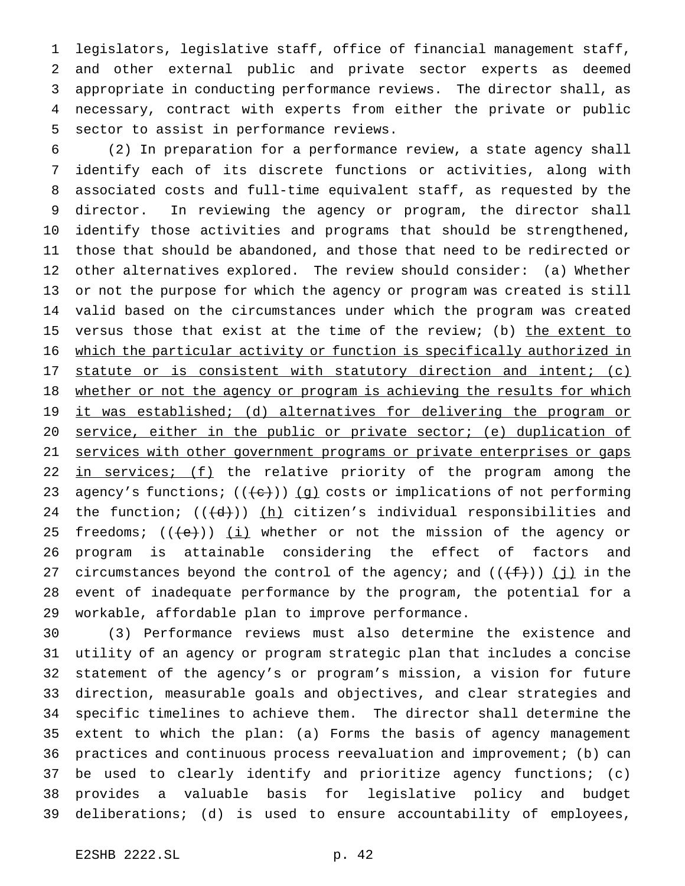legislators, legislative staff, office of financial management staff, and other external public and private sector experts as deemed appropriate in conducting performance reviews. The director shall, as necessary, contract with experts from either the private or public sector to assist in performance reviews.

 (2) In preparation for a performance review, a state agency shall identify each of its discrete functions or activities, along with associated costs and full-time equivalent staff, as requested by the director. In reviewing the agency or program, the director shall identify those activities and programs that should be strengthened, those that should be abandoned, and those that need to be redirected or other alternatives explored. The review should consider: (a) Whether or not the purpose for which the agency or program was created is still valid based on the circumstances under which the program was created 15 versus those that exist at the time of the review; (b) the extent to 16 which the particular activity or function is specifically authorized in 17 statute or is consistent with statutory direction and intent; (c) 18 whether or not the agency or program is achieving the results for which 19 it was established; (d) alternatives for delivering the program or 20 service, either in the public or private sector; (e) duplication of 21 services with other government programs or private enterprises or gaps 22 in services; (f) the relative priority of the program among the 23 agency's functions;  $((e))$   $(g)$  costs or implications of not performing 24 the function;  $((\{d\}))(\underline{h})$  citizen's individual responsibilities and 25 freedoms;  $((+e))$   $(i)$  whether or not the mission of the agency or program is attainable considering the effect of factors and 27 circumstances beyond the control of the agency; and  $((+f))$  (j) in the event of inadequate performance by the program, the potential for a workable, affordable plan to improve performance.

 (3) Performance reviews must also determine the existence and utility of an agency or program strategic plan that includes a concise statement of the agency's or program's mission, a vision for future direction, measurable goals and objectives, and clear strategies and specific timelines to achieve them. The director shall determine the extent to which the plan: (a) Forms the basis of agency management practices and continuous process reevaluation and improvement; (b) can be used to clearly identify and prioritize agency functions; (c) provides a valuable basis for legislative policy and budget deliberations; (d) is used to ensure accountability of employees,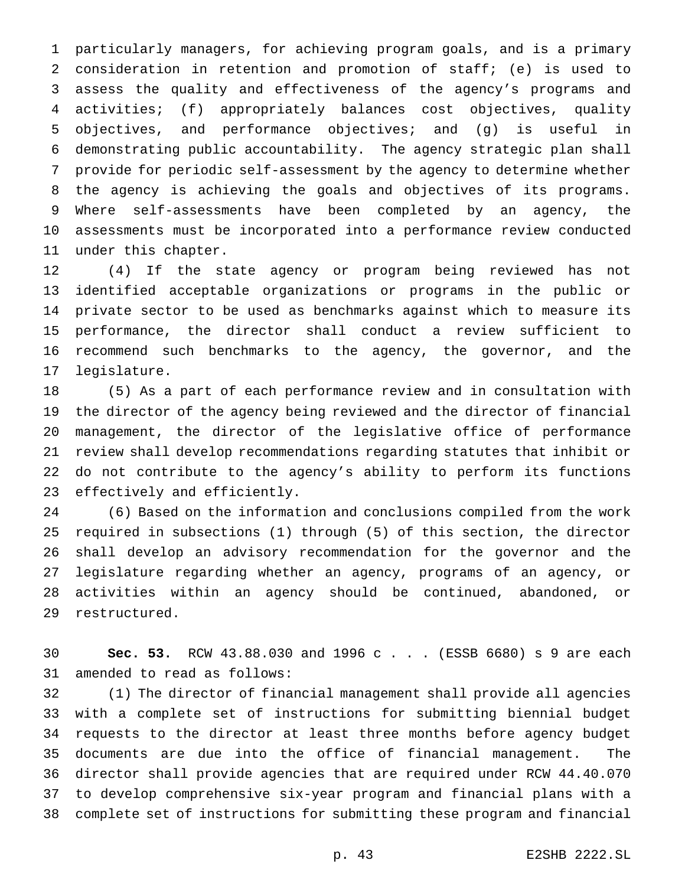particularly managers, for achieving program goals, and is a primary consideration in retention and promotion of staff; (e) is used to assess the quality and effectiveness of the agency's programs and activities; (f) appropriately balances cost objectives, quality objectives, and performance objectives; and (g) is useful in demonstrating public accountability. The agency strategic plan shall provide for periodic self-assessment by the agency to determine whether the agency is achieving the goals and objectives of its programs. Where self-assessments have been completed by an agency, the assessments must be incorporated into a performance review conducted under this chapter.

 (4) If the state agency or program being reviewed has not identified acceptable organizations or programs in the public or private sector to be used as benchmarks against which to measure its performance, the director shall conduct a review sufficient to recommend such benchmarks to the agency, the governor, and the legislature.

 (5) As a part of each performance review and in consultation with the director of the agency being reviewed and the director of financial management, the director of the legislative office of performance review shall develop recommendations regarding statutes that inhibit or do not contribute to the agency's ability to perform its functions effectively and efficiently.

 (6) Based on the information and conclusions compiled from the work required in subsections (1) through (5) of this section, the director shall develop an advisory recommendation for the governor and the legislature regarding whether an agency, programs of an agency, or activities within an agency should be continued, abandoned, or restructured.

 **Sec. 53.** RCW 43.88.030 and 1996c... (ESSB 6680) s 9 are each amended to read as follows:

 (1) The director of financial management shall provide all agencies with a complete set of instructions for submitting biennial budget requests to the director at least three months before agency budget documents are due into the office of financial management. The director shall provide agencies that are required under RCW 44.40.070 to develop comprehensive six-year program and financial plans with a complete set of instructions for submitting these program and financial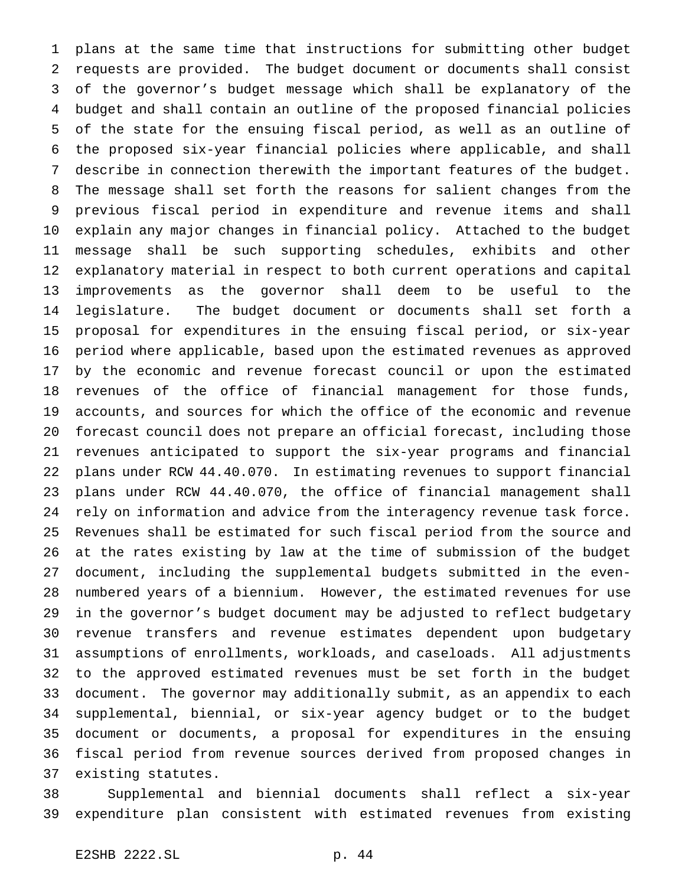plans at the same time that instructions for submitting other budget requests are provided. The budget document or documents shall consist of the governor's budget message which shall be explanatory of the budget and shall contain an outline of the proposed financial policies of the state for the ensuing fiscal period, as well as an outline of the proposed six-year financial policies where applicable, and shall describe in connection therewith the important features of the budget. The message shall set forth the reasons for salient changes from the previous fiscal period in expenditure and revenue items and shall explain any major changes in financial policy. Attached to the budget message shall be such supporting schedules, exhibits and other explanatory material in respect to both current operations and capital improvements as the governor shall deem to be useful to the legislature. The budget document or documents shall set forth a proposal for expenditures in the ensuing fiscal period, or six-year period where applicable, based upon the estimated revenues as approved by the economic and revenue forecast council or upon the estimated revenues of the office of financial management for those funds, accounts, and sources for which the office of the economic and revenue forecast council does not prepare an official forecast, including those revenues anticipated to support the six-year programs and financial plans under RCW 44.40.070. In estimating revenues to support financial plans under RCW 44.40.070, the office of financial management shall rely on information and advice from the interagency revenue task force. Revenues shall be estimated for such fiscal period from the source and at the rates existing by law at the time of submission of the budget document, including the supplemental budgets submitted in the even- numbered years of a biennium. However, the estimated revenues for use in the governor's budget document may be adjusted to reflect budgetary revenue transfers and revenue estimates dependent upon budgetary assumptions of enrollments, workloads, and caseloads. All adjustments to the approved estimated revenues must be set forth in the budget document. The governor may additionally submit, as an appendix to each supplemental, biennial, or six-year agency budget or to the budget document or documents, a proposal for expenditures in the ensuing fiscal period from revenue sources derived from proposed changes in existing statutes.

 Supplemental and biennial documents shall reflect a six-year expenditure plan consistent with estimated revenues from existing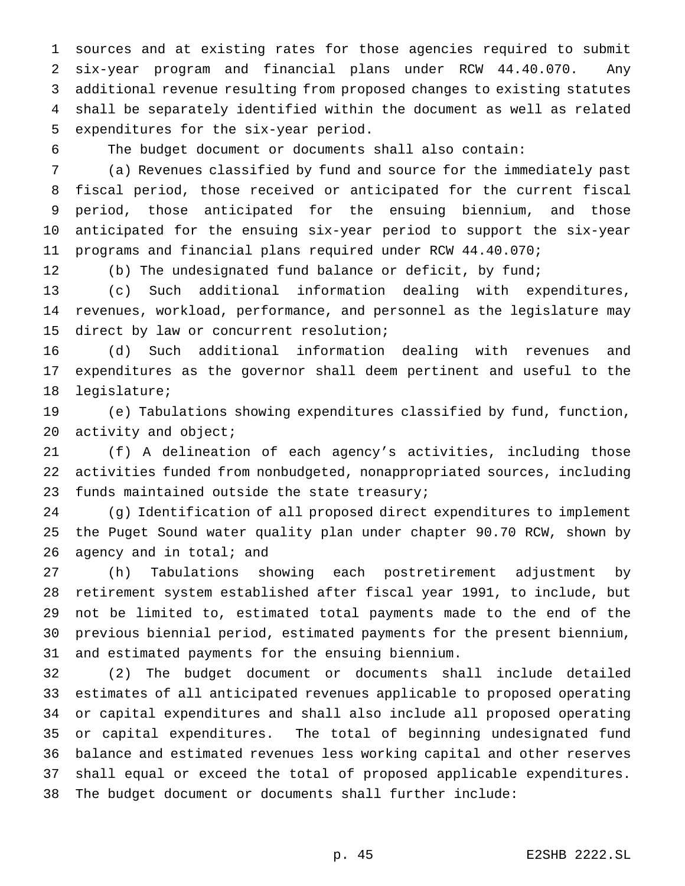sources and at existing rates for those agencies required to submit six-year program and financial plans under RCW 44.40.070. Any additional revenue resulting from proposed changes to existing statutes shall be separately identified within the document as well as related expenditures for the six-year period.

The budget document or documents shall also contain:

 (a) Revenues classified by fund and source for the immediately past fiscal period, those received or anticipated for the current fiscal period, those anticipated for the ensuing biennium, and those anticipated for the ensuing six-year period to support the six-year programs and financial plans required under RCW 44.40.070;

12 (b) The undesignated fund balance or deficit, by fund;

 (c) Such additional information dealing with expenditures, revenues, workload, performance, and personnel as the legislature may direct by law or concurrent resolution;

 (d) Such additional information dealing with revenues and expenditures as the governor shall deem pertinent and useful to the legislature;

 (e) Tabulations showing expenditures classified by fund, function, 20 activity and object;

 (f) A delineation of each agency's activities, including those activities funded from nonbudgeted, nonappropriated sources, including funds maintained outside the state treasury;

 (g) Identification of all proposed direct expenditures to implement the Puget Sound water quality plan under chapter 90.70 RCW, shown by 26 agency and in total; and

 (h) Tabulations showing each postretirement adjustment by retirement system established after fiscal year 1991, to include, but not be limited to, estimated total payments made to the end of the previous biennial period, estimated payments for the present biennium, and estimated payments for the ensuing biennium.

 (2) The budget document or documents shall include detailed estimates of all anticipated revenues applicable to proposed operating or capital expenditures and shall also include all proposed operating or capital expenditures. The total of beginning undesignated fund balance and estimated revenues less working capital and other reserves shall equal or exceed the total of proposed applicable expenditures. The budget document or documents shall further include: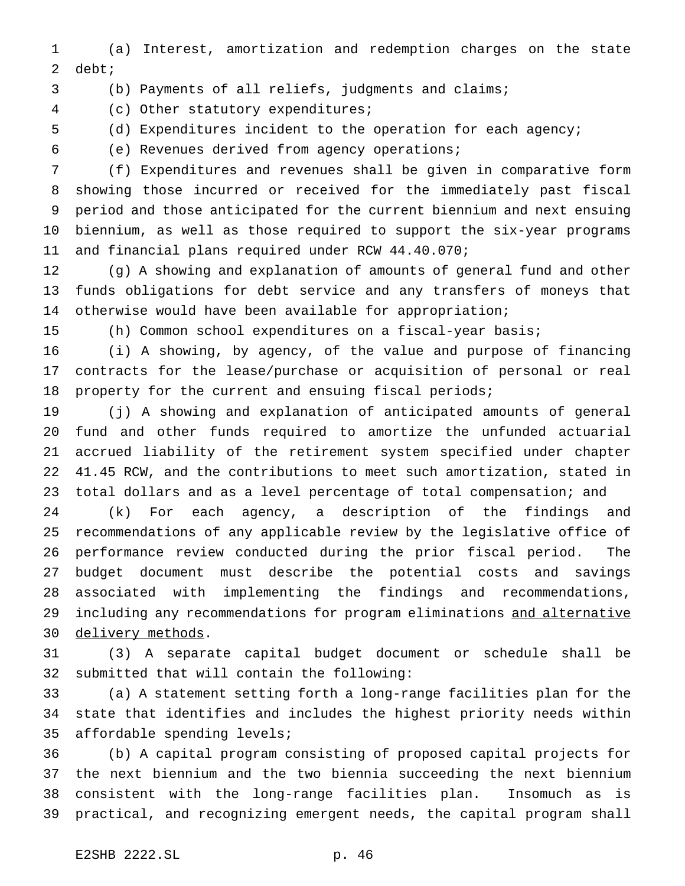(a) Interest, amortization and redemption charges on the state debt;

(b) Payments of all reliefs, judgments and claims;

(c) Other statutory expenditures;

(d) Expenditures incident to the operation for each agency;

(e) Revenues derived from agency operations;

 (f) Expenditures and revenues shall be given in comparative form showing those incurred or received for the immediately past fiscal period and those anticipated for the current biennium and next ensuing biennium, as well as those required to support the six-year programs and financial plans required under RCW 44.40.070;

 (g) A showing and explanation of amounts of general fund and other funds obligations for debt service and any transfers of moneys that otherwise would have been available for appropriation;

(h) Common school expenditures on a fiscal-year basis;

 (i) A showing, by agency, of the value and purpose of financing contracts for the lease/purchase or acquisition of personal or real 18 property for the current and ensuing fiscal periods;

 (j) A showing and explanation of anticipated amounts of general fund and other funds required to amortize the unfunded actuarial accrued liability of the retirement system specified under chapter 41.45 RCW, and the contributions to meet such amortization, stated in 23 total dollars and as a level percentage of total compensation; and

 (k) For each agency, a description of the findings and recommendations of any applicable review by the legislative office of performance review conducted during the prior fiscal period. The budget document must describe the potential costs and savings associated with implementing the findings and recommendations, 29 including any recommendations for program eliminations and alternative 30 delivery methods.

 (3) A separate capital budget document or schedule shall be submitted that will contain the following:

 (a) A statement setting forth a long-range facilities plan for the state that identifies and includes the highest priority needs within affordable spending levels;

 (b) A capital program consisting of proposed capital projects for the next biennium and the two biennia succeeding the next biennium consistent with the long-range facilities plan. Insomuch as is practical, and recognizing emergent needs, the capital program shall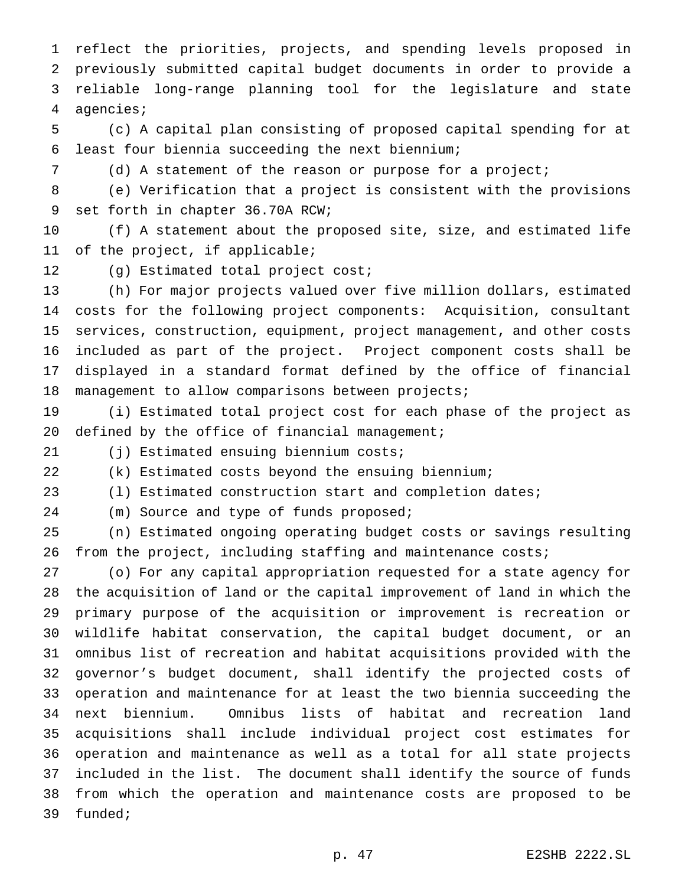reflect the priorities, projects, and spending levels proposed in previously submitted capital budget documents in order to provide a reliable long-range planning tool for the legislature and state agencies;

 (c) A capital plan consisting of proposed capital spending for at least four biennia succeeding the next biennium;

(d) A statement of the reason or purpose for a project;

 (e) Verification that a project is consistent with the provisions set forth in chapter 36.70A RCW;

 (f) A statement about the proposed site, size, and estimated life of the project, if applicable;

(g) Estimated total project cost;

 (h) For major projects valued over five million dollars, estimated costs for the following project components: Acquisition, consultant services, construction, equipment, project management, and other costs included as part of the project. Project component costs shall be displayed in a standard format defined by the office of financial management to allow comparisons between projects;

 (i) Estimated total project cost for each phase of the project as 20 defined by the office of financial management;

(j) Estimated ensuing biennium costs;

(k) Estimated costs beyond the ensuing biennium;

(l) Estimated construction start and completion dates;

(m) Source and type of funds proposed;

(n) Estimated ongoing operating budget costs or savings resulting

26 from the project, including staffing and maintenance costs;

 (o) For any capital appropriation requested for a state agency for the acquisition of land or the capital improvement of land in which the primary purpose of the acquisition or improvement is recreation or wildlife habitat conservation, the capital budget document, or an omnibus list of recreation and habitat acquisitions provided with the governor's budget document, shall identify the projected costs of operation and maintenance for at least the two biennia succeeding the next biennium. Omnibus lists of habitat and recreation land acquisitions shall include individual project cost estimates for operation and maintenance as well as a total for all state projects included in the list. The document shall identify the source of funds from which the operation and maintenance costs are proposed to be funded;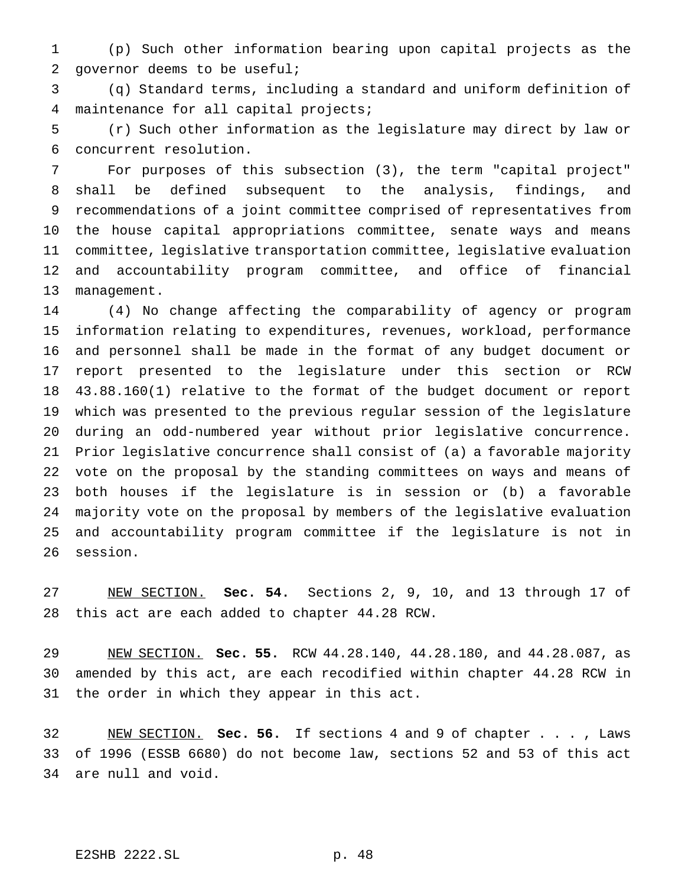(p) Such other information bearing upon capital projects as the governor deems to be useful;

 (q) Standard terms, including a standard and uniform definition of maintenance for all capital projects;

 (r) Such other information as the legislature may direct by law or concurrent resolution.

 For purposes of this subsection (3), the term "capital project" shall be defined subsequent to the analysis, findings, and recommendations of a joint committee comprised of representatives from the house capital appropriations committee, senate ways and means committee, legislative transportation committee, legislative evaluation and accountability program committee, and office of financial management.

 (4) No change affecting the comparability of agency or program information relating to expenditures, revenues, workload, performance and personnel shall be made in the format of any budget document or report presented to the legislature under this section or RCW 43.88.160(1) relative to the format of the budget document or report which was presented to the previous regular session of the legislature during an odd-numbered year without prior legislative concurrence. Prior legislative concurrence shall consist of (a) a favorable majority vote on the proposal by the standing committees on ways and means of both houses if the legislature is in session or (b) a favorable majority vote on the proposal by members of the legislative evaluation and accountability program committee if the legislature is not in session.

 NEW SECTION. **Sec. 54.** Sections 2, 9, 10, and 13 through 17 of this act are each added to chapter 44.28 RCW.

 NEW SECTION. **Sec. 55.** RCW 44.28.140, 44.28.180, and 44.28.087, as amended by this act, are each recodified within chapter 44.28 RCW in the order in which they appear in this act.

 NEW SECTION. **Sec. 56.** If sections 4 and 9 of chapter . . . , Laws of 1996 (ESSB 6680) do not become law, sections 52 and 53 of this act are null and void.

# E2SHB 2222.SL p. 48